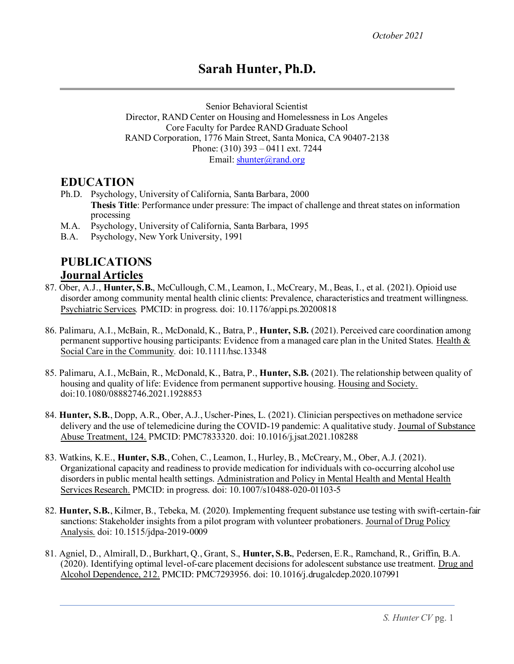# **Sarah Hunter, Ph.D.**

Senior Behavioral Scientist Director, RAND Center on Housing and Homelessness in Los Angeles Core Faculty for Pardee RAND Graduate School RAND Corporation, 1776 Main Street, Santa Monica, CA 90407-2138 Phone: (310) 393 – 0411 ext. 7244 Email: [shunter@rand.org](mailto:shunter@rand.org)

#### **EDUCATION**

- Ph.D. Psychology, University of California, Santa Barbara, 2000 **Thesis Title**: Performance under pressure: The impact of challenge and threat states on information processing
- M.A. Psychology, University of California, Santa Barbara, 1995
- B.A. Psychology, New York University, 1991

# **PUBLICATIONS Journal Articles**

- 87. Ober, A.J., **Hunter, S.B.**, McCullough, C.M., Leamon, I., McCreary, M., Beas, I., et al. (2021). Opioid use disorder among community mental health clinic clients: Prevalence, characteristics and treatment willingness. Psychiatric Services*.* PMCID: in progress. doi: 10.1176/appi.ps.20200818
- 86. Palimaru, A.I., McBain, R., McDonald, K., Batra, P., **Hunter, S.B.** (2021). Perceived care coordination among permanent supportive housing participants: Evidence from a managed care plan in the United States. Health  $\&$ Social Care in the Community*.* doi: 10.1111/hsc.13348
- 85. Palimaru, A.I., McBain, R., McDonald, K., Batra, P., **Hunter, S.B.** (2021). The relationship between quality of housing and quality of life: Evidence from permanent supportive housing. Housing and Society. doi:10.1080/08882746.2021.1928853
- 84. **Hunter, S.B.**, Dopp, A.R., Ober, A.J., Uscher-Pines, L. (2021). Clinician perspectives on methadone service delivery and the use of telemedicine during the COVID-19 pandemic: A qualitative study. Journal of Substance Abuse Treatment, 124. PMCID: PMC7833320. doi: 10.1016/j.jsat.2021.108288
- 83. Watkins, K.E., **Hunter, S.B.**, Cohen, C., Leamon, I., Hurley, B., McCreary, M., Ober, A.J. (2021). Organizational capacity and readiness to provide medication for individuals with co-occurring alcohol use disorders in public mental health settings. Administration and Policy in Mental Health and Mental Health Services Research. PMCID: in progress. doi: 10.1007/s10488-020-01103-5
- 82. **Hunter, S.B.**, Kilmer, B., Tebeka, M. (2020). Implementing frequent substance use testing with swift-certain-fair sanctions: Stakeholder insights from a pilot program with volunteer probationers. Journal of Drug Policy Analysis. [doi: 10.1515/jdpa-2019-0009](https://doi.org/10.1515/jdpa-2019-0009)
- 81. Agniel, D., Almirall, D., Burkhart, Q., Grant, S., **Hunter, S.B.**, Pedersen, E.R., Ramchand, R., Griffin, B.A. (2020). Identifying optimal level-of-care placement decisions for adolescent substance use treatment. Drug and Alcohol Dependence, 212. PMCID: PMC7293956. doi[: 10.1016/j.drugalcdep.2020.107991](https://doi.org/10.1016/j.drugalcdep.2020.107991)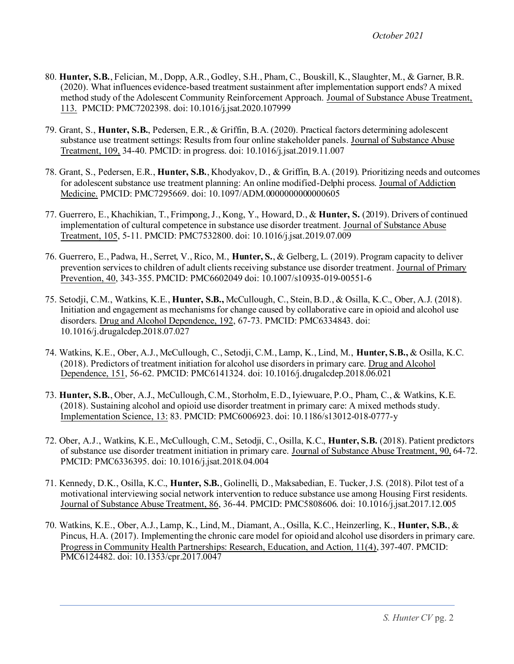- 80. **Hunter, S.B.**, Felician, M., Dopp, A.R., Godley, S.H., Pham, C., Bouskill, K., Slaughter, M., & Garner, B.R. (2020). What influences evidence-based treatment sustainment after implementation support ends? A mixed method study of the Adolescent Community Reinforcement Approach. Journal of Substance Abuse Treatment, 113. PMCID: PMC7202398. doi: 10.1016/j.jsat.2020.107999
- 79. Grant, S., **Hunter, S.B.**, Pedersen, E.R., & Griffin, B.A. (2020). Practical factors determining adolescent substance use treatment settings: Results from four online stakeholder panels. Journal of Substance Abuse Treatment, 109, 34-40. PMCID: in progress. doi: 10.1016/j.jsat.2019.11.007
- 78. Grant, S., Pedersen, E.R., **Hunter, S.B.**, Khodyakov, D., & Griffin, B.A. (2019). Prioritizing needs and outcomes for adolescent substance use treatment planning: An online modified-Delphi process. Journal of Addiction Medicine. PMCID: PMC7295669. doi[: 10.1097/ADM.0000000000000605](https://doi.org/10.1097/adm.0000000000000605)
- 77. Guerrero, E., Khachikian, T., Frimpong, J., Kong, Y., Howard, D., & **Hunter, S.** (2019). Drivers of continued implementation of cultural competence in substance use disorder treatment. Journal of Substance Abuse Treatment, 105, 5-11. PMCID: PMC7532800. doi: [10.1016/j.jsat.2019.07.009](https://doi.org/10.1016/j.jsat.2019.07.009)
- 76. Guerrero, E., Padwa, H., Serret, V., Rico, M., **Hunter, S.**, & Gelberg, L. (2019). Program capacity to deliver prevention services to children of adult clients receiving substance use disorder treatment. Journal of Primary Prevention, 40, 343-355. PMCID: PMC6602049 doi: 10.1007/s10935-019-00551-6
- 75. Setodji, C.M., Watkins, K.E., **Hunter, S.B.,** McCullough, C., Stein, B.D., & Osilla, K.C., Ober, A.J. (2018). Initiation and engagement as mechanisms for change caused by collaborative care in opioid and alcohol use disorders. Drug and Alcohol Dependence, 192, 67-73. PMCID: PMC6334843. doi: 10.1016/j.drugalcdep.2018.07.027
- 74. Watkins, K.E., Ober, A.J., McCullough, C., Setodji, C.M., Lamp, K., Lind, M., **Hunter, S.B.,** & Osilla, K.C. (2018). Predictors of treatment initiation for alcohol use disorders in primary care. Drug and Alcohol Dependence, 151, 56-62. PMCID: PMC6141324[. doi: 10.1016/j.drugalcdep.2018.06.021](https://doi.org/10.1016/j.drugalcdep.2018.06.021)
- 73. **Hunter, S.B.**, Ober, A.J., McCullough, C.M., Storholm, E.D., Iyiewuare, P.O., Pham, C., & Watkins, K.E. (2018). Sustaining alcohol and opioid use disorder treatment in primary care: A mixed methods study. Implementation Science, 13: 83. PMCID[: PMC6006923](https://www.ncbi.nlm.nih.gov/pmc/articles/PMC6006923/)[. doi: 10.1186/s13012-018-0777-y](https://doi.org/10.1186/s13012-018-0777-y)
- 72. Ober, A.J., Watkins, K.E., McCullough, C.M., Setodji, C., Osilla, K.C., **Hunter, S.B.** (2018). Patient predictors of substance use disorder treatment initiation in primary care. Journal of Substance Abuse Treatment, 90, 64-72. PMCID: PMC6336395. doi: 10.1016/j.jsat.2018.04.004
- 71. Kennedy, D.K., Osilla, K.C., **Hunter, S.B.**, Golinelli, D., Maksabedian, E. Tucker, J.S. (2018). Pilot test of a motivational interviewing social network intervention to reduce substance use among Housing First residents. Journal of Substance Abuse Treatment, 86, 36-44. PMCID: PMC5808606. doi: [10.1016/j.jsat.2017.12.005](https://doi.org/10.1016/j.jsat.2017.12.005)
- 70. Watkins, K.E., Ober, A.J., Lamp, K., Lind, M., Diamant, A., Osilla, K.C., Heinzerling, K., **Hunter, S.B.**, & Pincus, H.A. (2017). Implementing the chronic care model for opioid and alcohol use disorders in primary care. Progress in Community Health Partnerships: Research, Education, and Action*,* 11(4), 397-407. PMCID: PMC6124482. doi: 10.1353/cpr.2017.0047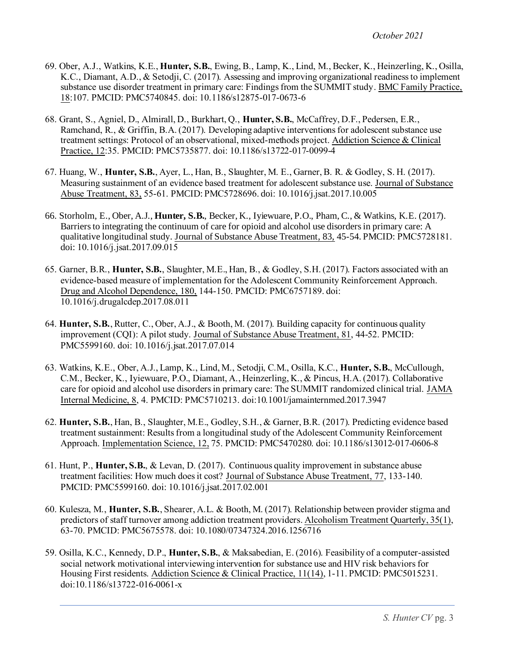- 69. Ober, A.J., Watkins, K.E., **Hunter, S.B.**, Ewing, B., Lamp, K., Lind, M., Becker, K., Heinzerling, K., Osilla, K.C., Diamant, A.D., & Setodji, C. (2017). Assessing and improving organizational readiness to implement substance use disorder treatment in primary care: Findings from the SUMMIT study. BMC Family Practice, 18:107. PMCID[: PMC5740845.](https://www.ncbi.nlm.nih.gov/pmc/articles/PMC5740845/) doi: 10.1186/s12875-017-0673-6
- 68. Grant, S., Agniel, D., Almirall, D., Burkhart, Q., **Hunter, S.B.**, McCaffrey, D.F., Pedersen, E.R., Ramchand, R., & Griffin, B.A. (2017). Developing adaptive interventions for adolescent substance use treatment settings: Protocol of an observational, mixed-methods project. Addiction Science & Clinical Practice, 12:35. PMCID: [PMC5735877](https://www.ncbi.nlm.nih.gov/pmc/articles/PMC5735877/). doi: 10.1186/s13722-017-0099-4
- 67. Huang, W., **Hunter, S.B.**, Ayer, L., Han, B., Slaughter, M. E., Garner, B. R. & Godley, S. H. (2017). Measuring sustainment of an evidence based treatment for adolescent substance use. Journal of Substance Abuse Treatment, 83, 55-61. PMCID: [PMC5728696](https://www.ncbi.nlm.nih.gov/pmc/articles/PMC5728696/). doi: 10.1016/j.jsat.2017.10.005
- 66. Storholm, E., Ober, A.J., **Hunter, S.B.**, Becker, K., Iyiewuare, P.O., Pham, C., & Watkins, K.E. (2017). Barriers to integrating the continuum of care for opioid and alcohol use disorders in primary care: A qualitative longitudinal study. Journal of Substance Abuse Treatment, 83, 45-54. PMCID: [PMC5728181](https://www.ncbi.nlm.nih.gov/pmc/articles/PMC5728181/). doi: 10.1016/j.jsat.2017.09.015
- 65. Garner, B.R., **Hunter, S.B.**, Slaughter, M.E., Han, B., & Godley, S.H. (2017). Factors associated with an evidence-based measure of implementation for the Adolescent Community Reinforcement Approach. Drug and Alcohol Dependence, 180, 144-150. PMCID: PMC6757189. doi: 10.1016/j.drugalcdep.2017.08.011
- 64. **Hunter, S.B.**, Rutter, C., Ober, A.J., & Booth, M. (2017). Building capacity for continuous quality improvement (CQI): A pilot study. Journal of Substance Abuse Treatment, 81, 44-52. PMCID: PMC5599160. doi: 10.1016/j.jsat.2017.07.014
- 63. Watkins, K.E., Ober, A.J., Lamp, K., Lind, M., Setodji, C.M., Osilla, K.C., **Hunter, S.B.**, McCullough, C.M., Becker, K., Iyiewuare, P.O., Diamant, A., Heinzerling, K., & Pincus, H.A. (2017). Collaborative care for opioid and alcohol use disorders in primary care: The SUMMIT randomized clinical trial. JAMA Internal Medicine, 8, 4. PMCID[: PMC5710213.](https://www.ncbi.nlm.nih.gov/pmc/articles/PMC5710213/) doi:10.1001/jamainternmed.2017.3947
- 62. **Hunter, S.B.**, Han, B., Slaughter, M.E., Godley, S.H., & Garner, B.R. (2017). Predicting evidence based treatment sustainment: Results from a longitudinal study of the Adolescent Community Reinforcement Approach. Implementation Science, 12, 75. PMCID: PMC5470280. doi: 10.1186/s13012-017-0606-8
- 61. Hunt, P., **Hunter, S.B.**, & Levan, D. (2017). Continuous quality improvement in substance abuse treatment facilities: How much does it cost? Journal of Substance Abuse Treatment, 77, 133-140. PMCID: PMC5599160. doi: 10.1016/j.jsat.2017.02.001
- 60. Kulesza, M., **Hunter, S.B.**, Shearer, A.L. & Booth, M. (2017). Relationship between provider stigma and predictors of staff turnover among addiction treatment providers. Alcoholism Treatment Quarterly, 35(1), 63-70. PMCID: PMC5675578. doi: 10.1080/07347324.2016.1256716
- 59. Osilla, K.C., Kennedy, D.P., **Hunter, S.B.**, & Maksabedian, E. (2016). Feasibility of a computer-assisted social network motivational interviewing intervention for substance use and HIV risk behaviors for Housing First residents. Addiction Science & Clinical Practice, 11(14), 1-11. PMCID[: PMC5015231](https://www.ncbi.nlm.nih.gov/pmc/articles/PMC5015231/). doi:10.1186/s13722-016-0061-x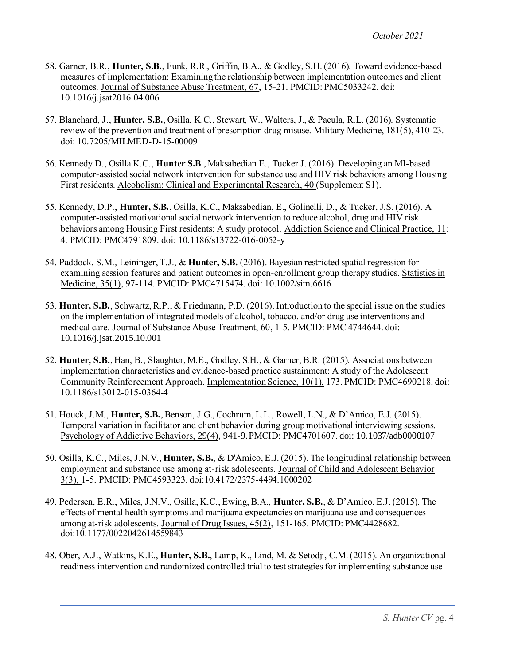- 58. Garner, B.R., **Hunter, S.B.**, Funk, R.R., Griffin, B.A., & Godley, S.H. (2016). Toward evidence-based measures of implementation: Examining the relationship between implementation outcomes and client outcomes. Journal of Substance Abuse Treatment, 67, 15-21. PMCID[: PMC5033242](https://www.ncbi.nlm.nih.gov/pmc/articles/PMC5033242/). doi: 10.1016/j.jsat2016.04.006
- 57. Blanchard, J., **Hunter, S.B.**, Osilla, K.C., Stewart, W., Walters, J., & Pacula, R.L. (2016). Systematic review of the prevention and treatment of prescription drug misuse. Military Medicine, 181(5), 410-23. doi: 10.7205/MILMED-D-15-00009
- 56. Kennedy D., Osilla K.C., **Hunter S.B**., Maksabedian E., Tucker J. (2016). Developing an MI-based computer-assisted social network intervention for substance use and HIV risk behaviors among Housing First residents. Alcoholism: Clinical and Experimental Research, 40 (Supplement S1).
- 55. Kennedy, D.P., **Hunter, S.B.**, Osilla, K.C., Maksabedian, E., Golinelli, D., & Tucker, J.S. (2016). A computer-assisted motivational social network intervention to reduce alcohol, drug and HIV risk behaviors among Housing First residents: A study protocol. Addiction Science and Clinical Practice, 11: 4. PMCID[: PMC4791809.](https://www.ncbi.nlm.nih.gov/pmc/articles/PMC4791809/) doi: 10.1186/s13722-016-0052-y
- 54. Paddock, S.M., Leininger, T.J., & **Hunter, S.B.** (2016). Bayesian restricted spatial regression for examining session features and patient outcomes in open-enrollment group therapy studies. Statistics in Medicine, 35(1), 97-114. PMCID: PMC4715474. doi: 10.1002/sim.6616
- 53. **Hunter, S.B.**, Schwartz, R.P., & Friedmann, P.D. (2016). Introduction to the special issue on the studies on the implementation of integrated models of alcohol, tobacco, and/or drug use interventions and medical care. Journal of Substance Abuse Treatment, 60, 1-5. PMCID: PMC 4744644. doi: 10.1016/j.jsat.2015.10.001
- 52. **Hunter, S.B.**, Han, B., Slaughter, M.E., Godley, S.H., & Garner, B.R. (2015). Associations between implementation characteristics and evidence-based practice sustainment: A study of the Adolescent Community Reinforcement Approach. Implementation Science, 10(1), 173. PMCID: PMC4690218. doi: 10.1186/s13012-015-0364-4
- 51. Houck, J.M., **Hunter, S.B.**, Benson, J.G., Cochrum, L.L., Rowell, L.N., & D'Amico, E.J. (2015). Temporal variation in facilitator and client behavior during group motivational interviewing sessions. Psychology of Addictive Behaviors, 29(4), 941-9.PMCID: PMC4701607. doi: 10.1037/adb0000107
- 50. Osilla, K.C., Miles, J.N.V., **Hunter, S.B.**, & D'Amico, E.J. (2015). The longitudinal relationship between employment and substance use among at-risk adolescents. Journal of Child and Adolescent Behavior 3(3), 1-5. PMCID: PMC4593323. doi:10.4172/2375-4494.1000202
- 49. Pedersen, E.R., Miles, J.N.V., Osilla, K.C., Ewing, B.A., **Hunter, S.B.**, & D'Amico, E.J. (2015). The effects of mental health symptoms and marijuana expectancies on marijuana use and consequences among at-risk adolescents. Journal of Drug Issues, 45(2), 151-165. PMCID: PMC4428682. doi:10.1177/0022042614559843
- 48. Ober, A.J., Watkins, K.E., **Hunter, S.B.**, Lamp, K., Lind, M. & Setodji, C.M. (2015). An organizational readiness intervention and randomized controlled trial to test strategies for implementing substance use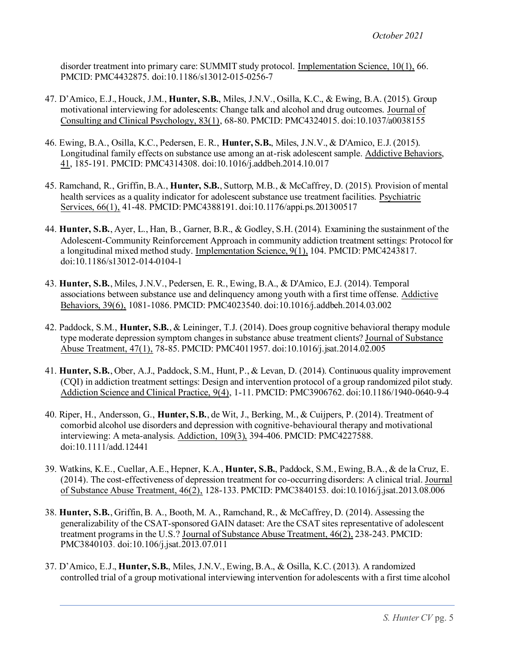disorder treatment into primary care: SUMMIT study protocol. Implementation Science, 10(1), 66. PMCID: PMC4432875. doi:10.1186/s13012-015-0256-7

- 47. D'Amico, E.J., Houck, J.M., **Hunter, S.B.**, Miles, J.N.V., Osilla, K.C., & Ewing, B.A. (2015). Group motivational interviewing for adolescents: Change talk and alcohol and drug outcomes. Journal of Consulting and Clinical Psychology, 83(1), 68-80. PMCID: PMC4324015. doi:10.1037/a0038155
- 46. Ewing, B.A., Osilla, K.C., Pedersen, E. R., **Hunter, S.B.**, Miles, J.N.V., & D'Amico, E.J. (2015). Longitudinal family effects on substance use among an at-risk adolescent sample. Addictive Behaviors, 41, 185-191. PMCID: PMC4314308. doi:10.1016/j.addbeh.2014.10.017
- 45. Ramchand, R., Griffin, B.A., **Hunter, S.B.**, Suttorp, M.B., & McCaffrey, D. (2015). Provision of mental health services as a quality indicator for adolescent substance use treatment facilities. Psychiatric Services, 66(1), 41-48. PMCID: PMC4388191. doi:10.1176/appi.ps.201300517
- 44. **Hunter, S.B.**, Ayer, L., Han, B., Garner, B.R., & Godley, S.H. (2014). Examining the sustainment of the Adolescent-Community Reinforcement Approach in community addiction treatment settings: Protocol for a longitudinal mixed method study. Implementation Science, 9(1), 104. PMCID: PMC4243817. doi:10.1186/s13012-014-0104-1
- 43. **Hunter, S.B.**, Miles, J.N.V., Pedersen, E. R., Ewing, B.A., & D'Amico, E.J. (2014). Temporal associations between substance use and delinquency among youth with a first time offense. Addictive Behaviors, 39(6), 1081-1086. PMCID: PMC4023540. doi:10.1016/j.addbeh.2014.03.002
- 42. Paddock, S.M., **Hunter, S.B.**, & Leininger, T.J. (2014). Does group cognitive behavioral therapy module type moderate depression symptom changes in substance abuse treatment clients? Journal of Substance Abuse Treatment, 47(1), 78-85. PMCID: PMC4011957. doi:10.1016/j.jsat.2014.02.005
- 41. **Hunter, S.B.**, Ober, A.J., Paddock, S.M., Hunt, P., & Levan, D. (2014). Continuous quality improvement (CQI) in addiction treatment settings: Design and intervention protocol of a group randomized pilot study. Addiction Science and Clinical Practice, 9(4), 1-11. PMCID: PMC3906762. doi:10.1186/1940-0640-9-4
- 40. Riper, H., Andersson, G., **Hunter, S.B.**, de Wit, J., Berking, M., & Cuijpers, P. (2014). Treatment of comorbid alcohol use disorders and depression with cognitive-behavioural therapy and motivational interviewing: A meta-analysis. Addiction, 109(3), 394-406. PMCID: PMC4227588. doi:10.1111/add.12441
- 39. Watkins, K.E., Cuellar, A.E., Hepner, K.A., **Hunter, S.B.**, Paddock, S.M., Ewing, B.A., & de la Cruz, E. (2014). The cost-effectiveness of depression treatment for co-occurring disorders: A clinical trial. Journal of Substance Abuse Treatment, 46(2), 128-133. PMCID: PMC3840153. doi:10.1016/j.jsat.2013.08.006
- 38. **Hunter, S.B.**, Griffin, B. A., Booth, M. A., Ramchand, R., & McCaffrey, D. (2014). Assessing the generalizability of the CSAT-sponsored GAIN dataset: Are the CSAT sites representative of adolescent treatment programs in the U.S.? Journal of Substance Abuse Treatment, 46(2), 238-243. PMCID: PMC3840103. doi:10.106/j.jsat.2013.07.011
- 37. D'Amico, E.J., **Hunter, S.B.**, Miles, J.N.V., Ewing, B.A., & Osilla, K.C. (2013). A randomized controlled trial of a group motivational interviewing intervention for adolescents with a first time alcohol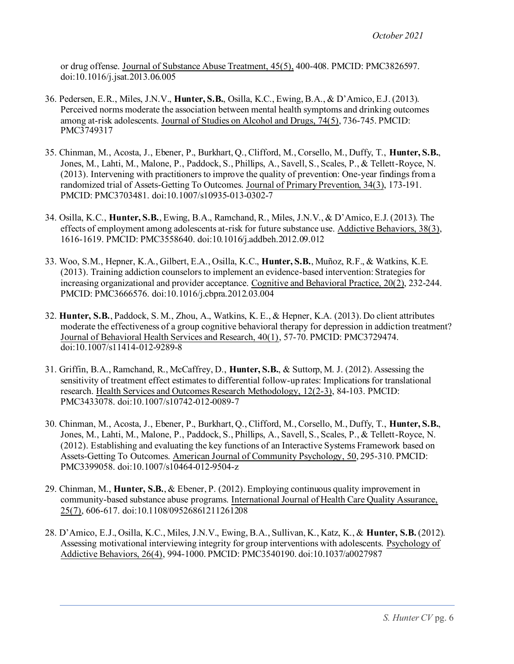or drug offense. Journal of Substance Abuse Treatment, 45(5), 400-408. PMCID: PMC3826597. doi:10.1016/j.jsat.2013.06.005

- 36. Pedersen, E.R., Miles, J.N.V., **Hunter, S.B.**, Osilla, K.C., Ewing, B.A., & D'Amico, E.J. (2013). Perceived norms moderate the association between mental health symptoms and drinking outcomes among at-risk adolescents. Journal of Studies on Alcohol and Drugs, 74(5), 736-745. PMCID: PMC3749317
- 35. Chinman, M., Acosta, J., Ebener, P., Burkhart, Q., Clifford, M., Corsello, M., Duffy, T., **Hunter, S.B.**, Jones, M., Lahti, M., Malone, P., Paddock, S., Phillips, A., Savell, S., Scales, P., & Tellett-Royce, N. (2013). Intervening with practitioners to improve the quality of prevention: One-year findings from a randomized trial of Assets-Getting To Outcomes. Journal of Primary Prevention, 34(3), 173-191. PMCID: PMC3703481. doi:10.1007/s10935-013-0302-7
- 34. Osilla, K.C., **Hunter, S.B.**, Ewing, B.A., Ramchand, R., Miles, J.N.V., & D'Amico, E.J. (2013). The effects of employment among adolescents at-risk for future substance use. Addictive Behaviors, 38(3), 1616-1619. PMCID: PMC3558640. doi:10.1016/j.addbeh.2012.09.012
- 33. Woo, S.M., Hepner, K.A., Gilbert, E.A., Osilla, K.C., **Hunter, S.B.**, Muñoz, R.F., & Watkins, K.E. (2013). Training addiction counselors to implement an evidence-based intervention: Strategies for increasing organizational and provider acceptance. Cognitive and Behavioral Practice, 20(2), 232-244. PMCID: PMC3666576. doi:10.1016/j.cbpra.2012.03.004
- 32. **Hunter, S.B.**, Paddock, S. M., Zhou, A., Watkins, K. E., & Hepner, K.A. (2013). Do client attributes moderate the effectiveness of a group cognitive behavioral therapy for depression in addiction treatment? Journal of Behavioral Health Services and Research, 40(1), 57-70. PMCID: PMC3729474. doi:10.1007/s11414-012-9289-8
- 31. Griffin, B.A., Ramchand, R., McCaffrey, D., **Hunter, S.B.**, & Suttorp, M. J. (2012). Assessing the sensitivity of treatment effect estimates to differential follow-up rates: Implications for translational research. Health Services and Outcomes Research Methodology, 12(2-3), 84-103. PMCID: PMC3433078. doi:10.1007/s10742-012-0089-7
- 30. Chinman, M., Acosta, J., Ebener, P., Burkhart, Q., Clifford, M., Corsello, M., Duffy, T., **Hunter, S.B.**, Jones, M., Lahti, M., Malone, P., Paddock, S., Phillips, A., Savell, S., Scales, P., & Tellett-Royce, N. (2012). Establishing and evaluating the key functions of an Interactive Systems Framework based on Assets-Getting To Outcomes. American Journal of Community Psychology, 50, 295-310. PMCID: PMC3399058. doi:10.1007/s10464-012-9504-z
- 29. Chinman, M., **Hunter, S.B.**, & Ebener, P. (2012). Employing continuous quality improvement in community-based substance abuse programs. International Journal of Health Care Quality Assurance, 25(7), 606-617. doi:10.1108/09526861211261208
- 28. D'Amico, E.J., Osilla, K.C., Miles, J.N.V., Ewing, B.A., Sullivan, K., Katz, K., & **Hunter, S.B.** (2012). Assessing motivational interviewing integrity for group interventions with adolescents. Psychology of Addictive Behaviors, 26(4), 994-1000. PMCID: PMC3540190. doi:10.1037/a0027987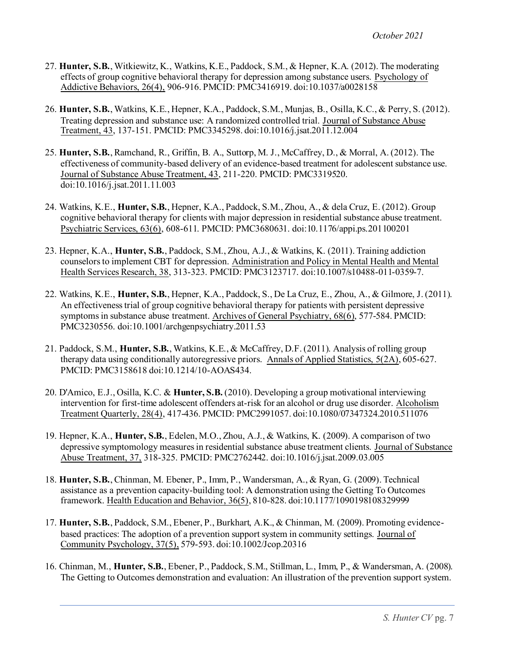- 27. **Hunter, S.B.**, Witkiewitz, K., Watkins, K.E., Paddock, S.M., & Hepner, K.A. (2012). The moderating effects of group cognitive behavioral therapy for depression among substance users. Psychology of Addictive Behaviors, 26(4), 906-916. PMCID: PMC3416919. do[i:10.1037/a0028158](http://psycnet.apa.org/doi/10.1037/a0028158)
- 26. **Hunter, S.B.**, Watkins, K.E., Hepner, K.A., Paddock, S.M., Munjas, B., Osilla, K.C., & Perry, S. (2012). Treating depression and substance use: A randomized controlled trial. Journal of Substance Abuse Treatment, 43, 137-151. PMCID: PMC3345298. doi:10.1016/j.jsat.2011.12.004
- 25. **Hunter, S.B.**, Ramchand, R., Griffin, B. A., Suttorp, M. J., McCaffrey, D., & Morral, A. (2012). The effectiveness of community-based delivery of an evidence-based treatment for adolescent substance use. Journal of Substance Abuse Treatment, 43, 211-220. PMCID: PMC3319520. doi:10.1016/j.jsat.2011.11.003
- 24. Watkins, K.E., **Hunter, S.B.**, Hepner, K.A., Paddock, S.M., Zhou, A., & dela Cruz, E. (2012). Group cognitive behavioral therapy for clients with major depression in residential substance abuse treatment. Psychiatric Services, 63(6), 608-611. PMCID: PMC3680631. doi:10.1176/appi.ps.201100201
- 23. Hepner, K.A., **Hunter, S.B.**, Paddock, S.M., Zhou, A.J., & Watkins, K. (2011). Training addiction counselors to implement CBT for depression. Administration and Policy in Mental Health and Mental Health Services Research, 38, 313-323. PMCID: PMC3123717. doi:10.1007/s10488-011-0359-7.
- 22. Watkins, K.E., **Hunter, S.B.**, Hepner, K.A., Paddock, S., De La Cruz, E., Zhou, A., & Gilmore, J. (2011). An effectiveness trial of group cognitive behavioral therapy for patients with persistent depressive symptoms in substance abuse treatment. Archives of General Psychiatry, 68(6), 577-584. PMCID: PMC3230556. doi:10.1001/archgenpsychiatry.2011.53
- 21. Paddock, S.M., **Hunter, S.B.**, Watkins, K.E., & McCaffrey, D.F. (2011). Analysis of rolling group therapy data using conditionally autoregressive priors. Annals of Applied Statistics, 5(2A), 605-627. PMCID: PMC3158618 doi:10.1214/10-AOAS434.
- 20. D'Amico, E.J., Osilla, K.C. & **Hunter, S.B.** (2010). Developing a group motivational interviewing intervention for first-time adolescent offenders at-risk for an alcohol or drug use disorder. Alcoholism Treatment Quarterly, 28(4), 417-436. PMCID: PMC2991057. doi:10.1080/07347324.2010.511076
- 19. Hepner, K.A., **Hunter, S.B.**, Edelen, M.O., Zhou, A.J., & Watkins, K. (2009). A comparison of two depressive symptomology measures in residential substance abuse treatment clients. Journal of Substance Abuse Treatment, 37, 318-325. PMCID: PMC2762442. doi:10.1016/j.jsat.2009.03.005
- 18. **Hunter, S.B.**, Chinman, M. Ebener, P., Imm, P., Wandersman, A., & Ryan, G. (2009). Technical assistance as a prevention capacity-building tool: A demonstration using the Getting To Outcomes framework. Health Education and Behavior, 36(5), 810-828. doi:10.1177/1090198108329999
- 17. **Hunter, S.B.**, Paddock, S.M., Ebener, P., Burkhart, A.K., & Chinman, M. (2009). Promoting evidencebased practices: The adoption of a prevention support system in community settings. Journal of Community Psychology, 37(5), 579-593. doi:10.1002/Jcop.20316
- 16. Chinman, M., **Hunter, S.B.**, Ebener, P., Paddock, S.M., Stillman, L., Imm, P., & Wandersman, A. (2008). The Getting to Outcomes demonstration and evaluation: An illustration of the prevention support system.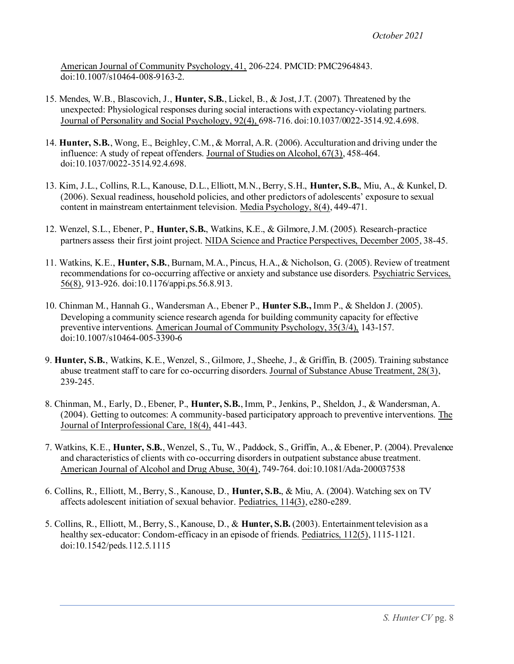American Journal of Community Psychology, 41, 206-224. PMCID: PMC2964843. doi:10.1007/s10464-008-9163-2.

- 15. Mendes, W.B., Blascovich, J., **Hunter, S.B.**, Lickel, B., & Jost, J.T. (2007). Threatened by the unexpected: Physiological responses during social interactions with expectancy-violating partners. Journal of Personality and Social Psychology, 92(4), 698-716. doi:10.1037/0022-3514.92.4.698.
- 14. **Hunter, S.B.**, Wong, E., Beighley, C.M., & Morral, A.R. (2006). Acculturation and driving under the influence: A study of repeat offenders. Journal of Studies on Alcohol, 67(3), 458-464. doi:10.1037/0022-3514.92.4.698.
- 13. Kim, J.L., Collins, R.L., Kanouse, D.L., Elliott, M.N., Berry, S.H., **Hunter, S.B.**, Miu, A., & Kunkel, D. (2006). Sexual readiness, household policies, and other predictors of adolescents' exposure to sexual content in mainstream entertainment television. Media Psychology, 8(4), 449-471.
- 12. Wenzel, S.L., Ebener, P., **Hunter, S.B.**, Watkins, K.E., & Gilmore, J.M. (2005). Research-practice partners assess their first joint project. NIDA Science and Practice Perspectives, December 2005, 38-45.
- 11. Watkins, K.E., **Hunter, S.B.**, Burnam, M.A., Pincus, H.A., & Nicholson, G. (2005). Review of treatment recommendations for co-occurring affective or anxiety and substance use disorders. Psychiatric Services, 56(8), 913-926. doi:10.1176/appi.ps.56.8.913.
- 10. Chinman M., Hannah G., Wandersman A., Ebener P., **Hunter S.B.,** Imm P., & Sheldon J. (2005). Developing a community science research agenda for building community capacity for effective preventive interventions. American Journal of Community Psychology, 35(3/4), 143-157. doi:10.1007/s10464-005-3390-6
- 9. **Hunter, S.B.**, Watkins, K.E., Wenzel, S., Gilmore, J., Sheehe, J., & Griffin, B. (2005). Training substance abuse treatment staff to care for co-occurring disorders. Journal of Substance Abuse Treatment, 28(3), 239-245.
- 8. Chinman, M., Early, D., Ebener, P., **Hunter, S.B.**, Imm, P., Jenkins, P., Sheldon, J., & Wandersman, A. (2004). Getting to outcomes: A community-based participatory approach to preventive interventions. The Journal of Interprofessional Care, 18(4), 441-443.
- 7. Watkins, K.E., **Hunter, S.B.**, Wenzel, S., Tu, W., Paddock, S., Griffin, A., & Ebener, P. (2004). Prevalence and characteristics of clients with co-occurring disorders in outpatient substance abuse treatment. American Journal of Alcohol and Drug Abuse, 30(4), 749-764. doi:10.1081/Ada-200037538
- 6. Collins, R., Elliott, M., Berry, S., Kanouse, D., **Hunter, S.B.**, & Miu, A. (2004). Watching sex on TV affects adolescent initiation of sexual behavior. Pediatrics, 114(3), e280-e289.
- 5. Collins, R., Elliott, M., Berry, S., Kanouse, D., & **Hunter, S.B.** (2003). Entertainment television as a healthy sex-educator: Condom-efficacy in an episode of friends. Pediatrics, 112(5), 1115-1121. doi:10.1542/peds.112.5.1115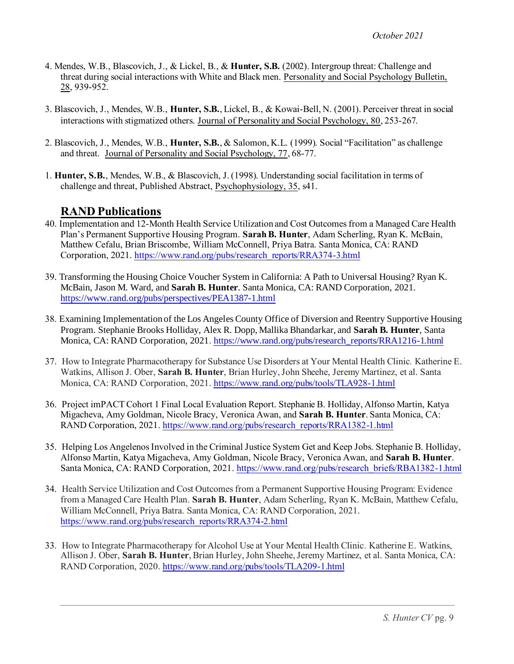- 4. Mendes, W.B., Blascovich, J., & Lickel, B., & **Hunter, S.B.** (2002). Intergroup threat: Challenge and threat during social interactions with White and Black men. Personality and Social Psychology Bulletin, 28, 939-952.
- 3. Blascovich, J., Mendes, W.B., **Hunter, S.B.**, Lickel, B., & Kowai-Bell, N. (2001). Perceiver threat in social interactions with stigmatized others. Journal of Personality and Social Psychology, 80, 253-267.
- 2. Blascovich, J., Mendes, W.B., **Hunter, S.B.**, & Salomon, K.L. (1999). Social "Facilitation" as challenge and threat. Journal of Personality and Social Psychology, 77, 68-77.
- 1. **Hunter, S.B.**, Mendes, W.B., & Blascovich, J. (1998). Understanding social facilitation in terms of challenge and threat, Published Abstract, Psychophysiology, 35, s41.

### **RAND Publications**

- 40. Implementation and 12-Month Health Service Utilization and Cost Outcomes from a Managed Care Health Plan's Permanent Supportive Housing Program. **Sarah B. Hunter**, Adam Scherling, Ryan K. McBain, Matthew Cefalu, Brian Briscombe, William McConnell, Priya Batra. Santa Monica, CA: RAND Corporation, 2021[. https://www.rand.org/pubs/research\\_reports/RRA374-3.html](https://www.rand.org/pubs/research_reports/RRA374-3.html)
- 39. Transforming the Housing Choice Voucher System in California: A Path to Universal Housing? Ryan K. McBain, Jason M. Ward, and **Sarah B. Hunter**. Santa Monica, CA: RAND Corporation, 2021. <https://www.rand.org/pubs/perspectives/PEA1387-1.html>
- 38. Examining Implementation of the Los Angeles County Office of Diversion and Reentry Supportive Housing Program. Stephanie Brooks Holliday, Alex R. Dopp, Mallika Bhandarkar, and **Sarah B. Hunter**, Santa Monica, CA: RAND Corporation, 2021[. https://www.rand.org/pubs/research\\_reports/RRA1216-1.html](https://www.rand.org/pubs/research_reports/RRA1216-1.html)
- 37. How to Integrate Pharmacotherapy for Substance Use Disorders at Your Mental Health Clinic*.* Katherine E. Watkins, Allison J. Ober, **Sarah B. Hunter**, Brian Hurley, John Sheehe, Jeremy Martinez, et al. Santa Monica, CA: RAND Corporation, 2021. <https://www.rand.org/pubs/tools/TLA928-1.html>
- 36. Project imPACT Cohort 1 Final Local Evaluation Report. Stephanie B. Holliday, Alfonso Martin, Katya Migacheva, Amy Goldman, Nicole Bracy, Veronica Awan, and **Sarah B. Hunter**. Santa Monica, CA: RAND Corporation, 2021. [https://www.rand.org/pubs/research\\_reports/RRA1382-1.html](https://www.rand.org/pubs/research_reports/RRA1382-1.html)
- 35. Helping Los Angelenos Involved in the Criminal Justice System Get and Keep Jobs. Stephanie B. Holliday, Alfonso Martin, Katya Migacheva, Amy Goldman, Nicole Bracy, Veronica Awan, and **Sarah B. Hunter**. Santa Monica, CA: RAND Corporation, 2021. [https://www.rand.org/pubs/research\\_briefs/RBA1382-1.html](https://www.rand.org/pubs/research_briefs/RBA1382-1.html)
- 34. Health Service Utilization and Cost Outcomes from a Permanent Supportive Housing Program: Evidence from a Managed Care Health Plan. **Sarah B. Hunter**, Adam Scherling, Ryan K. McBain, Matthew Cefalu, William McConnell, Priya Batra. Santa Monica, CA: RAND Corporation, 2021. [https://www.rand.org/pubs/research\\_reports/RRA374-2.html](https://www.rand.org/pubs/research_reports/RRA374-2.html)
- 33. How to Integrate Pharmacotherapy for Alcohol Use at Your Mental Health Clinic*.* Katherine E. Watkins, Allison J. Ober, **Sarah B. Hunter**, Brian Hurley, John Sheehe, Jeremy Martinez, et al. Santa Monica, CA: RAND Corporation, 2020[. https://www.rand.org/pubs/tools/TLA209-1.html](https://www.rand.org/pubs/tools/TLA209-1.html)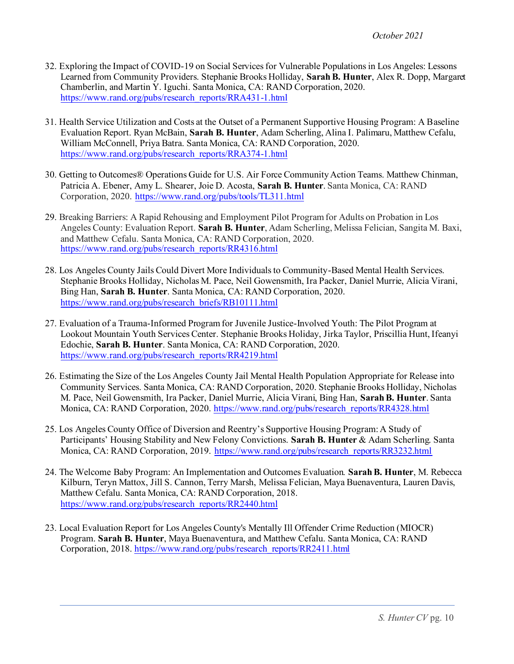- 32. Exploring the Impact of COVID-19 on Social Services for Vulnerable Populations in Los Angeles: Lessons Learned from Community Providers. Stephanie Brooks Holliday, **Sarah B. Hunter**, Alex R. Dopp, Margaret Chamberlin, and Martin Y. Iguchi. Santa Monica, CA: RAND Corporation, 2020. [https://www.rand.org/pubs/research\\_reports/RRA431-1.html](https://www.rand.org/pubs/research_reports/RRA431-1.html)
- 31. Health Service Utilization and Costs at the Outset of a Permanent Supportive Housing Program: A Baseline Evaluation Report. Ryan McBain, **Sarah B. Hunter**, Adam Scherling, Alina I. Palimaru, Matthew Cefalu, William McConnell, Priya Batra. Santa Monica, CA: RAND Corporation, 2020. [https://www.rand.org/pubs/research\\_reports/RRA374-1.html](https://www.rand.org/pubs/research_reports/RRA374-1.html)
- 30. Getting to Outcomes® Operations Guide for U.S. Air Force Community Action Teams. Matthew Chinman, Patricia A. Ebener, Amy L. Shearer, Joie D. Acosta, **Sarah B. Hunter**. Santa Monica, CA: RAND Corporation, 2020. <https://www.rand.org/pubs/tools/TL311.html>
- 29. Breaking Barriers: A Rapid Rehousing and Employment Pilot Program for Adults on Probation in Los Angeles County: Evaluation Report. **Sarah B. Hunter**, Adam Scherling, Melissa Felician, Sangita M. Baxi, and Matthew Cefalu. Santa Monica, CA: RAND Corporation, 2020. [https://www.rand.org/pubs/research\\_reports/RR4316.html](https://www.rand.org/pubs/research_reports/RR4316.html)
- 28. Los Angeles County Jails Could Divert More Individuals to Community-Based Mental Health Services. Stephanie Brooks Holliday, Nicholas M. Pace, Neil Gowensmith, Ira Packer, Daniel Murrie, Alicia Virani, Bing Han, **Sarah B. Hunter**. Santa Monica, CA: RAND Corporation, 2020. [https://www.rand.org/pubs/research\\_briefs/RB10111.html](https://www.rand.org/pubs/research_briefs/RB10111.html)
- 27. Evaluation of a Trauma-Informed Program for Juvenile Justice-Involved Youth: The Pilot Program at Lookout Mountain Youth Services Center. Stephanie Brooks Holiday, Jirka Taylor, Priscillia Hunt, Ifeanyi Edochie, **Sarah B. Hunter**. Santa Monica, CA: RAND Corporation, 2020. [https://www.rand.org/pubs/research\\_reports/RR4219.html](https://www.rand.org/pubs/research_reports/RR4219.html)
- 26. Estimating the Size of the Los Angeles County Jail Mental Health Population Appropriate for Release into Community Services. Santa Monica, CA: RAND Corporation, 2020. Stephanie Brooks Holliday, Nicholas M. Pace, Neil Gowensmith, Ira Packer, Daniel Murrie, Alicia Virani, Bing Han, **Sarah B. Hunter**. Santa Monica, CA: RAND Corporation, 2020[. https://www.rand.org/pubs/research\\_reports/RR4328.html](https://www.rand.org/pubs/research_reports/RR4328.html)
- 25. Los Angeles County Office of Diversion and Reentry's Supportive Housing Program: A Study of Participants' Housing Stability and New Felony Convictions. **Sarah B. Hunter** & Adam Scherling. Santa Monica, CA: RAND Corporation, 2019. [https://www.rand.org/pubs/research\\_reports/RR3232.html](https://www.rand.org/pubs/research_reports/RR3232.html)
- 24. The Welcome Baby Program: An Implementation and Outcomes Evaluation. **Sarah B. Hunter**, M. Rebecca Kilburn, Teryn Mattox, Jill S. Cannon, Terry Marsh, Melissa Felician, Maya Buenaventura, Lauren Davis, Matthew Cefalu. Santa Monica, CA: RAND Corporation, 2018. [https://www.rand.org/pubs/research\\_reports/RR2440.html](https://www.rand.org/pubs/research_reports/RR2440.html)
- 23. Local Evaluation Report for Los Angeles County's Mentally Ill Offender Crime Reduction (MIOCR) Program. **Sarah B. Hunter**, Maya Buenaventura, and Matthew Cefalu. Santa Monica, CA: RAND Corporation, 2018[. https://www.rand.org/pubs/research\\_reports/RR2411.html](https://www.rand.org/pubs/research_reports/RR2411.html)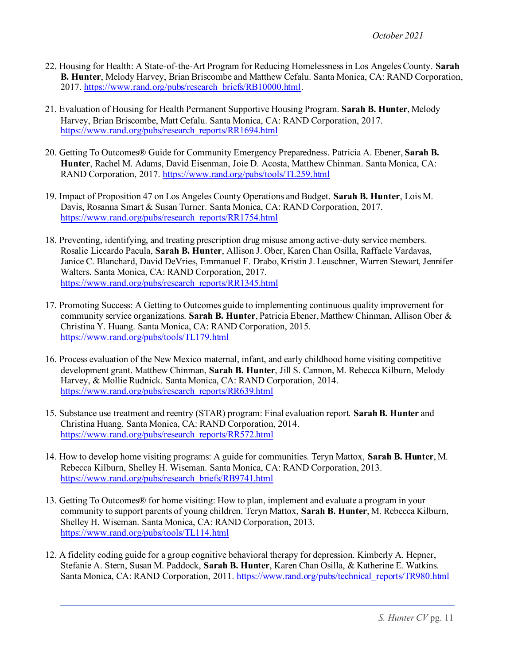- 22. Housing for Health: A State-of-the-Art Program for Reducing Homelessness in Los Angeles County. **Sarah B. Hunter**, Melody Harvey, Brian Briscombe and Matthew Cefalu. Santa Monica, CA: RAND Corporation, 2017[. https://www.rand.org/pubs/research\\_briefs/RB10000.html](https://www.rand.org/pubs/research_briefs/RB10000.html).
- 21. Evaluation of Housing for Health Permanent Supportive Housing Program. **Sarah B. Hunter**, Melody Harvey, Brian Briscombe, Matt Cefalu. Santa Monica, CA: RAND Corporation, 2017. [https://www.rand.org/pubs/research\\_reports/RR1694.html](https://www.rand.org/pubs/research_reports/RR1694.html)
- 20. [Getting To Outcomes® Guide for Community Emergency Preparedness.](https://www.rand.org/pubs/tools/TL259.html) [Patricia A. Ebener](https://www.rand.org/about/people/e/ebener_patricia_a.html), **[Sarah B.](https://www.rand.org/about/people/h/hunter_sarah_b.html)  [Hunter](https://www.rand.org/about/people/h/hunter_sarah_b.html)**[, Rachel M. Adams,](https://www.rand.org/pubs/authors/a/adams_rachel_m.html) [David Eisenman](https://www.rand.org/pubs/authors/e/eisenman_david.html)[, Joie D. Acosta](https://www.rand.org/about/people/a/acosta_joie_d.html)[, Matthew Chinman](https://www.rand.org/about/people/c/chinman_matthew.html). Santa Monica, CA: RAND Corporation, 2017. <https://www.rand.org/pubs/tools/TL259.html>
- 19. Impact of Proposition 47 on Los Angeles County Operations and Budget. **Sarah B. Hunter**, Lois M. Davis, Rosanna Smart & Susan Turner. Santa Monica, CA: RAND Corporation, 2017. [https://www.rand.org/pubs/research\\_reports/RR1754.html](https://www.rand.org/pubs/research_reports/RR1754.html)
- 18. Preventing, identifying, and treating prescription drug misuse among active-duty service members. Rosalie Liccardo Pacula, **Sarah B. Hunter**, Allison J. Ober, Karen Chan Osilla, Raffaele Vardavas, Janice C. Blanchard, David DeVries, Emmanuel F. Drabo, Kristin J. Leuschner, Warren Stewart, Jennifer Walters. Santa Monica, CA: RAND Corporation, 2017. [https://www.rand.org/pubs/research\\_reports/RR1345.html](https://www.rand.org/pubs/research_reports/RR1345.html)
- 17. Promoting Success: A Getting to Outcomes guide to implementing continuous quality improvement for community service organizations. **Sarah B. Hunter**, Patricia Ebener, Matthew Chinman, Allison Ober & Christina Y. Huang. Santa Monica, CA: RAND Corporation, 2015. <https://www.rand.org/pubs/tools/TL179.html>
- 16. Process evaluation of the New Mexico maternal, infant, and early childhood home visiting competitive development grant. Matthew Chinman, **Sarah B. Hunter**, Jill S. Cannon, M. Rebecca Kilburn, Melody Harvey, & Mollie Rudnick. Santa Monica, CA: RAND Corporation, 2014. [https://www.rand.org/pubs/research\\_reports/RR639.html](https://www.rand.org/pubs/research_reports/RR639.html)
- 15. Substance use treatment and reentry (STAR) program: Final evaluation report. **Sarah B. Hunter** and Christina Huang. Santa Monica, CA: RAND Corporation, 2014. [https://www.rand.org/pubs/research\\_reports/RR572.html](https://www.rand.org/pubs/research_reports/RR572.html)
- 14. How to develop home visiting programs: A guide for communities. Teryn Mattox, **Sarah B. Hunter**, M. Rebecca Kilburn, Shelley H. Wiseman. Santa Monica, CA: RAND Corporation, 2013. [https://www.rand.org/pubs/research\\_briefs/RB9741.html](https://www.rand.org/pubs/research_briefs/RB9741.html)
- 13. Getting To Outcomes® for home visiting: How to plan, implement and evaluate a program in your community to support parents of young children. Teryn Mattox, **Sarah B. Hunter**, M. Rebecca Kilburn, Shelley H. Wiseman. Santa Monica, CA: RAND Corporation, 2013. <https://www.rand.org/pubs/tools/TL114.html>
- 12. A fidelity coding guide for a group cognitive behavioral therapy for depression. Kimberly A. Hepner, Stefanie A. Stern, Susan M. Paddock, **Sarah B. Hunter**, Karen Chan Osilla, & Katherine E. Watkins. Santa Monica, CA: RAND Corporation, 2011. [https://www.rand.org/pubs/technical\\_reports/TR980.html](https://www.rand.org/pubs/technical_reports/TR980.html)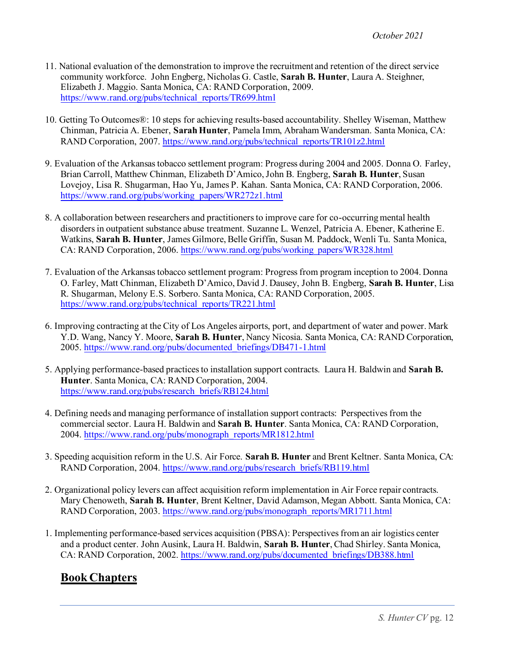- 11. National evaluation of the demonstration to improve the recruitment and retention of the direct service community workforce. John Engberg, Nicholas G. Castle, **Sarah B. Hunter**, Laura A. Steighner, Elizabeth J. Maggio. Santa Monica, CA: RAND Corporation, 2009. [https://www.rand.org/pubs/technical\\_reports/TR699.html](https://www.rand.org/pubs/technical_reports/TR699.html)
- 10. Getting To Outcomes®: 10 steps for achieving results-based accountability. Shelley Wiseman, Matthew Chinman, Patricia A. Ebener, **Sarah Hunter**, Pamela Imm, Abraham Wandersman. Santa Monica, CA: RAND Corporation, 2007. [https://www.rand.org/pubs/technical\\_reports/TR101z2.html](https://www.rand.org/pubs/technical_reports/TR101z2.html)
- 9. Evaluation of the Arkansas tobacco settlement program: Progress during 2004 and 2005. Donna O. Farley, Brian Carroll, Matthew Chinman, Elizabeth D'Amico, John B. Engberg, **Sarah B. Hunter**, Susan Lovejoy, Lisa R. Shugarman, Hao Yu, James P. Kahan. Santa Monica, CA: RAND Corporation, 2006. [https://www.rand.org/pubs/working\\_papers/WR272z1.html](https://www.rand.org/pubs/working_papers/WR272z1.html)
- 8. A collaboration between researchers and practitioners to improve care for co-occurring mental health disorders in outpatient substance abuse treatment. Suzanne L. Wenzel, Patricia A. Ebener, Katherine E. Watkins, **Sarah B. Hunter**, James Gilmore, Belle Griffin, Susan M. Paddock, Wenli Tu. Santa Monica, CA: RAND Corporation, 2006. [https://www.rand.org/pubs/working\\_papers/WR328.html](https://www.rand.org/pubs/working_papers/WR328.html)
- 7. Evaluation of the Arkansas tobacco settlement program: Progress from program inception to 2004. Donna O. Farley, Matt Chinman, Elizabeth D'Amico, David J. Dausey, John B. Engberg, **Sarah B. Hunter**, Lisa R. Shugarman, Melony E.S. Sorbero. Santa Monica, CA: RAND Corporation, 2005. [https://www.rand.org/pubs/technical\\_reports/TR221.html](https://www.rand.org/pubs/technical_reports/TR221.html)
- 6. Improving contracting at the City of Los Angeles airports, port, and department of water and power. Mark Y.D. Wang, Nancy Y. Moore, **Sarah B. Hunter**, Nancy Nicosia. Santa Monica, CA: RAND Corporation, 2005. [https://www.rand.org/pubs/documented\\_briefings/DB471-1.html](https://www.rand.org/pubs/documented_briefings/DB471-1.html)
- 5. Applying performance-based practices to installation support contracts. Laura H. Baldwin and **Sarah B. Hunter**. Santa Monica, CA: RAND Corporation, 2004. [https://www.rand.org/pubs/research\\_briefs/RB124.html](https://www.rand.org/pubs/research_briefs/RB124.html)
- 4. Defining needs and managing performance of installation support contracts: Perspectives from the commercial sector. Laura H. Baldwin and **Sarah B. Hunter**. Santa Monica, CA: RAND Corporation, 2004. [https://www.rand.org/pubs/monograph\\_reports/MR1812.html](https://www.rand.org/pubs/monograph_reports/MR1812.html)
- 3. Speeding acquisition reform in the U.S. Air Force. **Sarah B. Hunter** and Brent Keltner. Santa Monica, CA: RAND Corporation, 2004[. https://www.rand.org/pubs/research\\_briefs/RB119.html](https://www.rand.org/pubs/research_briefs/RB119.html)
- 2. Organizational policy levers can affect acquisition reform implementation in Air Force repair contracts. Mary Chenoweth, **Sarah B. Hunter**, Brent Keltner, David Adamson, Megan Abbott. Santa Monica, CA: RAND Corporation, 2003. [https://www.rand.org/pubs/monograph\\_reports/MR1711.html](https://www.rand.org/pubs/monograph_reports/MR1711.html)
- 1. Implementing performance-based services acquisition (PBSA): Perspectives from an air logistics center and a product center. John Ausink, Laura H. Baldwin, **Sarah B. Hunter**, Chad Shirley. Santa Monica, CA: RAND Corporation, 2002. [https://www.rand.org/pubs/documented\\_briefings/DB388.html](https://www.rand.org/pubs/documented_briefings/DB388.html)

# **Book Chapters**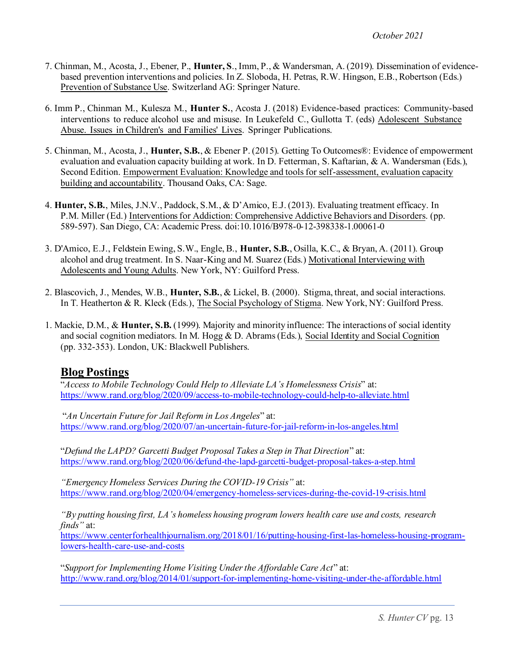- 7. Chinman, M., Acosta, J., Ebener, P., **Hunter, S**., Imm, P., & Wandersman, A. (2019). Dissemination of evidencebased prevention interventions and policies. In Z. Sloboda, H. Petras, R.W. Hingson, E.B., Robertson (Eds.) Prevention of Substance Use. Switzerland AG: Springer Nature.
- 6. Imm P., Chinman M., Kulesza M., **Hunter S.**, Acosta J. (2018) Evidence-based practices: Community-based interventions to reduce alcohol use and misuse. In Leukefeld C., Gullotta T. (eds) Adolescent Substance Abuse. Issues in Children's and Families' Lives. Springer Publications.
- 5. Chinman, M., Acosta, J., **Hunter, S.B.**, & Ebener P. (2015). Getting To Outcomes®: Evidence of empowerment evaluation and evaluation capacity building at work. In D. Fetterman, S. Kaftarian, & A. Wandersman (Eds.), Second Edition. Empowerment Evaluation: Knowledge and tools for self-assessment, evaluation capacity building and accountability. Thousand Oaks, CA: Sage.
- 4. **Hunter, S.B.**, Miles, J.N.V., Paddock, S.M., & D'Amico, E.J. (2013). Evaluating treatment efficacy. In P.M. Miller (Ed.) Interventions for Addiction: Comprehensive Addictive Behaviors and Disorders. (pp. 589-597). San Diego, CA: Academic Press. doi:10.1016/B978-0-12-398338-1.00061-0
- 3. D'Amico, E.J., Feldstein Ewing, S.W., Engle, B., **Hunter, S.B.**, Osilla, K.C., & Bryan, A. (2011). Group alcohol and drug treatment. In S. Naar-King and M. Suarez (Eds.) Motivational Interviewing with Adolescents and Young Adults. New York, NY: Guilford Press.
- 2. Blascovich, J., Mendes, W.B., **Hunter, S.B.**, & Lickel, B. (2000). Stigma, threat, and social interactions. In T. Heatherton & R. Kleck (Eds.), The Social Psychology of Stigma. New York, NY: Guilford Press.
- 1. Mackie, D.M., & **Hunter, S.B.** (1999). Majority and minority influence: The interactions of social identity and social cognition mediators. In M. Hogg & D. Abrams (Eds.), Social Identity and Social Cognition (pp. 332-353). London, UK: Blackwell Publishers.

#### **Blog Postings**

"*Access to Mobile Technology Could Help to Alleviate LA's Homelessness Crisis*" at: <https://www.rand.org/blog/2020/09/access-to-mobile-technology-could-help-to-alleviate.html>

"*An Uncertain Future for Jail Reform in Los Angeles*" at: <https://www.rand.org/blog/2020/07/an-uncertain-future-for-jail-reform-in-los-angeles.html>

"*Defund the LAPD? Garcetti Budget Proposal Takes a Step in That Direction*" at: <https://www.rand.org/blog/2020/06/defund-the-lapd-garcetti-budget-proposal-takes-a-step.html>

*"Emergency Homeless Services During the COVID-19 Crisis"* at: <https://www.rand.org/blog/2020/04/emergency-homeless-services-during-the-covid-19-crisis.html>

*"By putting housing first, LA's homeless housing program lowers health care use and costs, research finds"* at:

[https://www.centerforhealthjournalism.org/2018/01/16/putting-housing-first-las-homeless-housing-program](https://www.centerforhealthjournalism.org/2018/01/16/putting-housing-first-las-homeless-housing-program-lowers-health-care-use-and-costs)[lowers-health-care-use-and-costs](https://www.centerforhealthjournalism.org/2018/01/16/putting-housing-first-las-homeless-housing-program-lowers-health-care-use-and-costs)

"*Support for Implementing Home Visiting Under the Affordable Care Act*" at: <http://www.rand.org/blog/2014/01/support-for-implementing-home-visiting-under-the-affordable.html>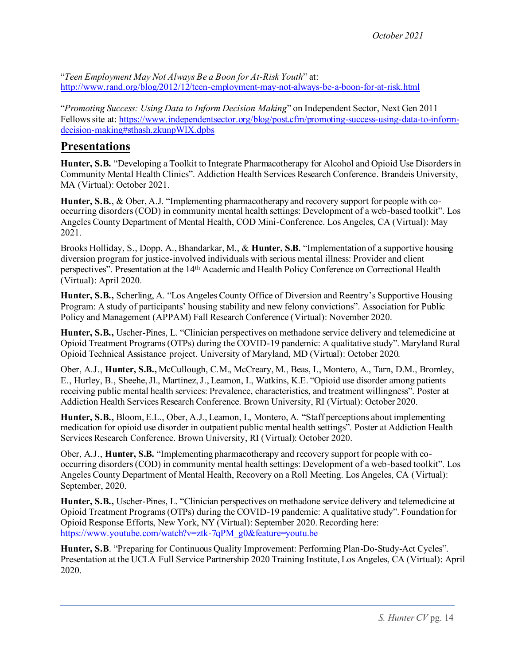"*Teen Employment May Not Always Be a Boon for At-Risk Youth*" at: <http://www.rand.org/blog/2012/12/teen-employment-may-not-always-be-a-boon-for-at-risk.html>

"*Promoting Success: Using Data to Inform Decision Making*" on Independent Sector, Next Gen 2011 Fellows site at[: https://www.independentsector.org/blog/post.cfm/promoting-success-using-data-to-inform](https://www.independentsector.org/blog/post.cfm/promoting-success-using-data-to-inform-decision-making#sthash.zkunpWlX.dpbs)[decision-making#sthash.zkunpWlX.dpbs](https://www.independentsector.org/blog/post.cfm/promoting-success-using-data-to-inform-decision-making#sthash.zkunpWlX.dpbs)

### **Presentations**

**Hunter, S.B.** "Developing a Toolkit to Integrate Pharmacotherapy for Alcohol and Opioid Use Disorders in Community Mental Health Clinics". Addiction Health Services Research Conference. Brandeis University, MA (Virtual): October 2021.

**Hunter, S.B.**, & Ober, A.J. "Implementing pharmacotherapy and recovery support for people with cooccurring disorders (COD) in community mental health settings: Development of a web-based toolkit". Los Angeles County Department of Mental Health, COD Mini-Conference. Los Angeles, CA (Virtual): May 2021.

Brooks Holliday, S., Dopp, A., Bhandarkar, M., & **Hunter, S.B.** "Implementation of a supportive housing diversion program for justice-involved individuals with serious mental illness: Provider and client perspectives". Presentation at the 14th Academic and Health Policy Conference on Correctional Health (Virtual): April 2020.

**Hunter, S.B.,** Scherling, A. "Los Angeles County Office of Diversion and Reentry's Supportive Housing Program: A study of participants' housing stability and new felony convictions". Association for Public Policy and Management (APPAM) Fall Research Conference (Virtual): November 2020.

**Hunter, S.B.,** Uscher-Pines, L. "Clinician perspectives on methadone service delivery and telemedicine at Opioid Treatment Programs (OTPs) during the COVID-19 pandemic: A qualitative study". Maryland Rural Opioid Technical Assistance project. University of Maryland, MD (Virtual): October 2020.

Ober, A.J., **Hunter, S.B.,** McCullough, C.M., McCreary, M., Beas, I., Montero, A., Tarn, D.M., Bromley, E., Hurley, B., Sheehe, Jl., Martinez, J., Leamon, I., Watkins, K.E. "Opioid use disorder among patients receiving public mental health services: Prevalence, characteristics, and treatment willingness". Poster at Addiction Health Services Research Conference. Brown University, RI (Virtual): October 2020.

**Hunter, S.B.,** Bloom, E.L., Ober, A.J., Leamon, I., Montero, A. "Staff perceptions about implementing medication for opioid use disorder in outpatient public mental health settings". Poster at Addiction Health Services Research Conference. Brown University, RI (Virtual): October 2020.

Ober, A.J., **Hunter, S.B.** "Implementing pharmacotherapy and recovery support for people with cooccurring disorders (COD) in community mental health settings: Development of a web-based toolkit". Los Angeles County Department of Mental Health, Recovery on a Roll Meeting. Los Angeles, CA (Virtual): September, 2020.

**Hunter, S.B.,** Uscher-Pines, L. "Clinician perspectives on methadone service delivery and telemedicine at Opioid Treatment Programs (OTPs) during the COVID-19 pandemic: A qualitative study". Foundation for Opioid Response Efforts, New York, NY (Virtual): September 2020. Recording here: [https://www.youtube.com/watch?v=ztk-7qPM\\_g0&feature=youtu.be](https://www.youtube.com/watch?v=ztk-7qPM_g0&feature=youtu.be)

**Hunter, S.B**. "Preparing for Continuous Quality Improvement: Performing Plan-Do-Study-Act Cycles". Presentation at the UCLA Full Service Partnership 2020 Training Institute, Los Angeles, CA (Virtual): April 2020.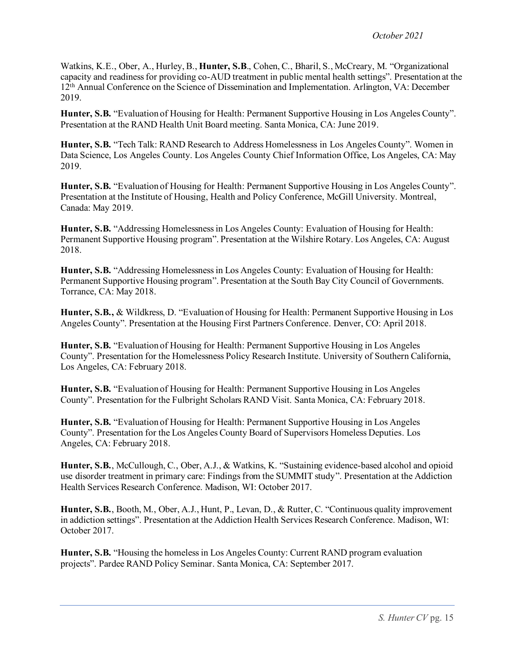Watkins, K.E., Ober, A., Hurley, B., **Hunter, S.B**., Cohen, C., Bharil, S., McCreary, M. "Organizational capacity and readiness for providing co-AUD treatment in public mental health settings". Presentation at the 12th Annual Conference on the Science of Dissemination and Implementation. Arlington, VA: December 2019.

**Hunter, S.B.** "Evaluation of Housing for Health: Permanent Supportive Housing in Los Angeles County". Presentation at the RAND Health Unit Board meeting. Santa Monica, CA: June 2019.

**Hunter, S.B.** "Tech Talk: RAND Research to Address Homelessness in Los Angeles County". Women in Data Science, Los Angeles County. Los Angeles County Chief Information Office, Los Angeles, CA: May 2019.

**Hunter, S.B.** "Evaluation of Housing for Health: Permanent Supportive Housing in Los Angeles County". Presentation at the Institute of Housing, Health and Policy Conference, McGill University. Montreal, Canada: May 2019.

**Hunter, S.B.** "Addressing Homelessness in Los Angeles County: Evaluation of Housing for Health: Permanent Supportive Housing program". Presentation at the Wilshire Rotary. Los Angeles, CA: August 2018.

**Hunter, S.B.** "Addressing Homelessness in Los Angeles County: Evaluation of Housing for Health: Permanent Supportive Housing program". Presentation at the South Bay City Council of Governments. Torrance, CA: May 2018.

**Hunter, S.B.,** & Wildkress, D. "Evaluation of Housing for Health: Permanent Supportive Housing in Los Angeles County". Presentation at the Housing First Partners Conference. Denver, CO: April 2018.

**Hunter, S.B.** "Evaluation of Housing for Health: Permanent Supportive Housing in Los Angeles County". Presentation for the Homelessness Policy Research Institute. University of Southern California, Los Angeles, CA: February 2018.

**Hunter, S.B.** "Evaluation of Housing for Health: Permanent Supportive Housing in Los Angeles County". Presentation for the Fulbright Scholars RAND Visit. Santa Monica, CA: February 2018.

**Hunter, S.B.** "Evaluation of Housing for Health: Permanent Supportive Housing in Los Angeles County". Presentation for the Los Angeles County Board of Supervisors Homeless Deputies. Los Angeles, CA: February 2018.

**Hunter, S.B.**, McCullough, C., Ober, A.J., & Watkins, K. "Sustaining evidence-based alcohol and opioid use disorder treatment in primary care: Findings from the SUMMIT study". Presentation at the Addiction Health Services Research Conference. Madison, WI: October 2017.

**Hunter, S.B.**, Booth, M., Ober, A.J., Hunt, P., Levan, D., & Rutter, C. "Continuous quality improvement in addiction settings". Presentation at the Addiction Health Services Research Conference. Madison, WI: October 2017.

**Hunter, S.B.** "Housing the homeless in Los Angeles County: Current RAND program evaluation projects". Pardee RAND Policy Seminar. Santa Monica, CA: September 2017.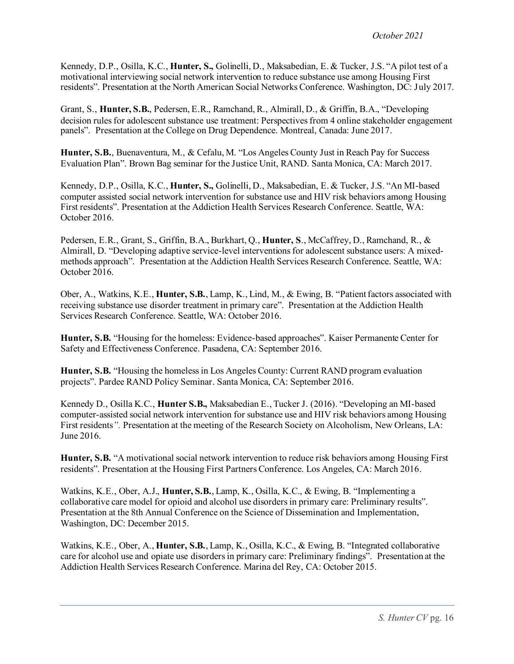Kennedy, D.P., Osilla, K.C., **Hunter, S.,** Golinelli, D., Maksabedian, E. & Tucker, J.S. "A pilot test of a motivational interviewing social network intervention to reduce substance use among Housing First residents". Presentation at the North American Social Networks Conference. Washington, DC: July 2017.

Grant, S., **Hunter, S.B.**, Pedersen, E.R., Ramchand, R., Almirall, D., & Griffin, B.A., "Developing decision rules for adolescent substance use treatment: Perspectives from 4 online stakeholder engagement panels". Presentation at the College on Drug Dependence. Montreal, Canada: June 2017.

**Hunter, S.B.**, Buenaventura, M., & Cefalu, M. "Los Angeles County Just in Reach Pay for Success Evaluation Plan". Brown Bag seminar for the Justice Unit, RAND. Santa Monica, CA: March 2017.

Kennedy, D.P., Osilla, K.C., **Hunter, S.,** Golinelli, D., Maksabedian, E. & Tucker, J.S. "An MI-based computer assisted social network intervention for substance use and HIV risk behaviors among Housing First residents". Presentation at the Addiction Health Services Research Conference. Seattle, WA: October 2016.

Pedersen, E.R., Grant, S., Griffin, B.A., Burkhart, Q., **Hunter, S**., McCaffrey, D., Ramchand, R., & Almirall, D. "Developing adaptive service-level interventions for adolescent substance users: A mixedmethods approach". Presentation at the Addiction Health Services Research Conference. Seattle, WA: October 2016.

Ober, A., Watkins, K.E., **Hunter, S.B.**, Lamp, K., Lind, M., & Ewing, B. "Patient factors associated with receiving substance use disorder treatment in primary care". Presentation at the Addiction Health Services Research Conference. Seattle, WA: October 2016.

**Hunter, S.B.** "Housing for the homeless: Evidence-based approaches". Kaiser Permanente Center for Safety and Effectiveness Conference. Pasadena, CA: September 2016.

**Hunter, S.B.** "Housing the homeless in Los Angeles County: Current RAND program evaluation projects". Pardee RAND Policy Seminar. Santa Monica, CA: September 2016.

Kennedy D., Osilla K.C., **Hunter S.B.,** Maksabedian E., Tucker J. (2016). "Developing an MI-based computer-assisted social network intervention for substance use and HIV risk behaviors among Housing First residents<sup>*"*</sup>. Presentation at the meeting of the Research Society on Alcoholism, New Orleans, LA: June 2016.

**Hunter, S.B.** "A motivational social network intervention to reduce risk behaviors among Housing First residents". Presentation at the Housing First Partners Conference. Los Angeles, CA: March 2016.

Watkins, K.E., Ober, A.J., **Hunter, S.B.**, Lamp, K., Osilla, K.C., & Ewing, B. "Implementing a collaborative care model for opioid and alcohol use disorders in primary care: Preliminary results". Presentation at the 8th Annual Conference on the Science of Dissemination and Implementation, Washington, DC: December 2015.

Watkins, K.E., Ober, A., **Hunter, S.B.**, Lamp, K., Osilla, K.C., & Ewing, B. "Integrated collaborative care for alcohol use and opiate use disorders in primary care: Preliminary findings". Presentation at the Addiction Health Services Research Conference. Marina del Rey, CA: October 2015.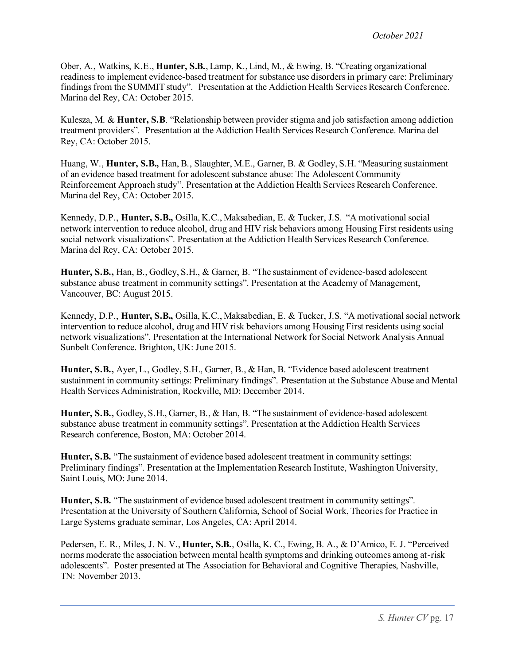Ober, A., Watkins, K.E., **Hunter, S.B.**, Lamp, K., Lind, M., & Ewing, B. "Creating organizational readiness to implement evidence-based treatment for substance use disorders in primary care: Preliminary findings from the SUMMIT study". Presentation at the Addiction Health Services Research Conference. Marina del Rey, CA: October 2015.

Kulesza, M. & **Hunter, S.B**. "Relationship between provider stigma and job satisfaction among addiction treatment providers". Presentation at the Addiction Health Services Research Conference. Marina del Rey, CA: October 2015.

Huang, W., **Hunter, S.B.,** Han, B., Slaughter, M.E., Garner, B. & Godley, S.H. "Measuring sustainment of an evidence based treatment for adolescent substance abuse: The Adolescent Community Reinforcement Approach study". Presentation at the Addiction Health Services Research Conference. Marina del Rey, CA: October 2015.

Kennedy, D.P., **Hunter, S.B.,** Osilla, K.C., Maksabedian, E. & Tucker, J.S. "A motivational social network intervention to reduce alcohol, drug and HIV risk behaviors among Housing First residents using social network visualizations". Presentation at the Addiction Health Services Research Conference. Marina del Rey, CA: October 2015.

**Hunter, S.B.,** Han, B., Godley, S.H., & Garner, B. "The sustainment of evidence-based adolescent substance abuse treatment in community settings". Presentation at the Academy of Management, Vancouver, BC: August 2015.

Kennedy, D.P., **Hunter, S.B.,** Osilla, K.C., Maksabedian, E. & Tucker, J.S. "A motivational social network intervention to reduce alcohol, drug and HIV risk behaviors among Housing First residents using social network visualizations". Presentation at the International Network for Social Network Analysis Annual Sunbelt Conference. Brighton, UK: June 2015.

**Hunter, S.B.,** Ayer, L., Godley, S.H., Garner, B., & Han, B. "Evidence based adolescent treatment sustainment in community settings: Preliminary findings". Presentation at the Substance Abuse and Mental Health Services Administration, Rockville, MD: December 2014.

**Hunter, S.B.,** Godley, S.H., Garner, B., & Han, B. "The sustainment of evidence-based adolescent substance abuse treatment in community settings". Presentation at the Addiction Health Services Research conference, Boston, MA: October 2014.

**Hunter, S.B.** "The sustainment of evidence based adolescent treatment in community settings: Preliminary findings". Presentation at the Implementation Research Institute, Washington University, Saint Louis, MO: June 2014.

**Hunter, S.B.** "The sustainment of evidence based adolescent treatment in community settings". Presentation at the University of Southern California, School of Social Work, Theories for Practice in Large Systems graduate seminar, Los Angeles, CA: April 2014.

Pedersen, E. R., Miles, J. N. V., **Hunter, S.B.**, Osilla, K. C., Ewing, B. A., & D'Amico, E. J. "Perceived norms moderate the association between mental health symptoms and drinking outcomes among at-risk adolescents". Poster presented at The Association for Behavioral and Cognitive Therapies, Nashville, TN: November 2013.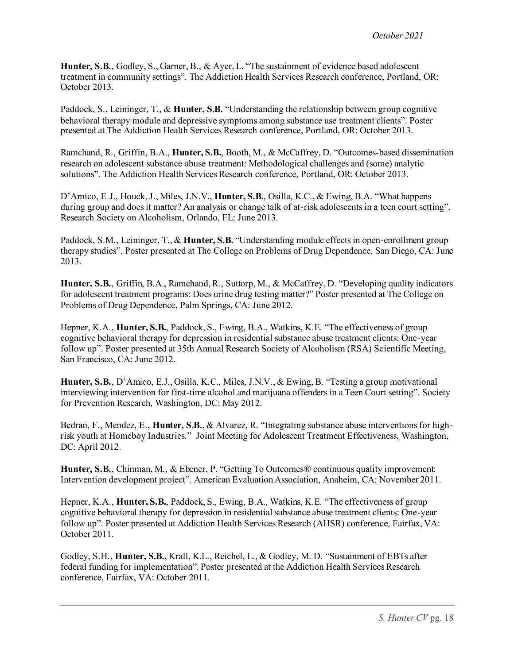**Hunter, S.B.**, Godley, S., Garner, B., & Ayer, L. "The sustainment of evidence based adolescent treatment in community settings". The Addiction Health Services Research conference, Portland, OR: October 2013.

Paddock, S., Leininger, T., & **Hunter, S.B.** "Understanding the relationship between group cognitive behavioral therapy module and depressive symptoms among substance use treatment clients". Poster presented at The Addiction Health Services Research conference, Portland, OR: October 2013.

Ramchand, R., Griffin, B.A., **Hunter, S.B.**, Booth, M., & McCaffrey, D. "Outcomes-based dissemination research on adolescent substance abuse treatment: Methodological challenges and (some) analytic solutions". The Addiction Health Services Research conference, Portland, OR: October 2013.

D'Amico, E.J., Houck, J., Miles, J.N.V., **Hunter, S.B.**, Osilla, K.C., & Ewing, B.A. "What happens during group and does it matter? An analysis or change talk of at-risk adolescents in a teen court setting". Research Society on Alcoholism, Orlando, FL: June 2013.

Paddock, S.M., Leininger, T., & **Hunter, S.B.** "Understanding module effects in open-enrollment group therapy studies". Poster presented at The College on Problems of Drug Dependence, San Diego, CA: June 2013.

**Hunter, S.B.**, Griffin, B.A., Ramchand, R., Suttorp, M., & McCaffrey, D. "Developing quality indicators for adolescent treatment programs: Does urine drug testing matter?" Poster presented at The College on Problems of Drug Dependence, Palm Springs, CA: June 2012.

Hepner, K.A., **Hunter, S.B.**, Paddock, S., Ewing, B.A., Watkins, K.E. "The effectiveness of group cognitive behavioral therapy for depression in residential substance abuse treatment clients: One-year follow up". Poster presented at 35th Annual Research Society of Alcoholism (RSA) Scientific Meeting, San Francisco, CA: June 2012.

**Hunter, S.B.**, D'Amico, E.J., Osilla, K.C., Miles, J.N.V., & Ewing, B. "Testing a group motivational interviewing intervention for first-time alcohol and marijuana offendersin a Teen Court setting". Society for Prevention Research, Washington, DC: May 2012.

Bedran, F., Mendez, E., **Hunter, S.B.**, & Alvarez, R. "Integrating substance abuse interventions for highrisk youth at Homeboy Industries." Joint Meeting for Adolescent Treatment Effectiveness, Washington, DC: April 2012.

**Hunter, S.B.**, Chinman, M., & Ebener, P. "Getting To Outcomes® continuous quality improvement: Intervention development project". American Evaluation Association, Anaheim, CA: November 2011.

Hepner, K.A., **Hunter, S.B.**, Paddock, S., Ewing, B.A., Watkins, K.E. "The effectiveness of group cognitive behavioral therapy for depression in residential substance abuse treatment clients: One-year follow up". Poster presented at Addiction Health Services Research (AHSR) conference, Fairfax, VA: October 2011.

Godley, S.H., **Hunter, S.B.**, Krall, K.L., Reichel, L., & Godley, M. D. "Sustainment of EBTs after federal funding for implementation". Poster presented at the Addiction Health Services Research conference, Fairfax, VA: October 2011.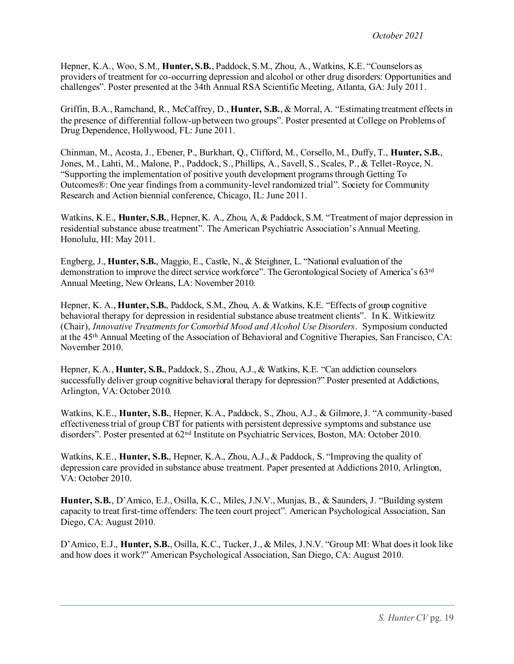Hepner, K.A., Woo, S.M., **Hunter, S.B.**, Paddock, S.M., Zhou, A., Watkins, K.E. "Counselors as providers of treatment for co-occurring depression and alcohol or other drug disorders: Opportunities and challenges". Poster presented at the 34th Annual RSA Scientific Meeting, Atlanta, GA: July 2011.

Griffin, B.A., Ramchand, R., McCaffrey, D., **Hunter, S.B.**, & Morral, A. "Estimating treatment effects in the presence of differential follow-up between two groups". Poster presented at College on Problems of Drug Dependence, Hollywood, FL: June 2011.

Chinman, M., Acosta, J., Ebener, P., Burkhart, Q., Clifford, M., Corsello, M., Duffy, T., **Hunter, S.B.**, Jones, M., Lahti, M., Malone, P., Paddock, S., Phillips, A., Savell, S., Scales, P., & Tellet-Royce, N. "Supporting the implementation of positive youth development programs through Getting To Outcomes®: One year findings from a community-level randomized trial". Society for Community Research and Action biennial conference, Chicago, IL: June 2011.

Watkins, K.E., **Hunter, S.B.**, Hepner, K. A., Zhou, A, & Paddock, S.M. "Treatment of major depression in residential substance abuse treatment". The American Psychiatric Association's Annual Meeting. Honolulu, HI: May 2011.

Engberg, J., **Hunter, S.B.**, Maggio, E., Castle, N., & Steighner, L. "National evaluation of the demonstration to improve the direct service workforce". The Gerontological Society of America's 63rd Annual Meeting, New Orleans, LA: November 2010.

Hepner, K. A., **Hunter, S.B.**, Paddock, S.M., Zhou, A. & Watkins, K.E. "Effects of group cognitive behavioral therapy for depression in residential substance abuse treatment clients". In K. Witkiewitz (Chair), *Innovative Treatments for Comorbid Mood and Alcohol Use Disorders*. Symposium conducted at the 45th Annual Meeting of the Association of Behavioral and Cognitive Therapies, San Francisco, CA: November 2010.

Hepner, K.A., **Hunter, S.B.**, Paddock, S., Zhou, A.J., & Watkins, K.E. "Can addiction counselors successfully deliver group cognitive behavioral therapy for depression?" Poster presented at Addictions, Arlington, VA: October 2010.

Watkins, K.E., **Hunter, S.B.**, Hepner, K.A., Paddock, S., Zhou, A.J., & Gilmore, J. "A community-based effectiveness trial of group CBT for patients with persistent depressive symptoms and substance use disorders". Poster presented at 62nd Institute on Psychiatric Services, Boston, MA: October 2010.

Watkins, K.E., **Hunter, S.B.**, Hepner, K.A., Zhou, A.J., & Paddock, S. "Improving the quality of depression care provided in substance abuse treatment. Paper presented at Addictions 2010, Arlington, VA: October 2010.

**Hunter, S.B.**, D'Amico, E.J., Osilla, K.C., Miles, J.N.V., Munjas, B., & Saunders, J. "Building system capacity to treat first-time offenders: The teen court project". American Psychological Association, San Diego, CA: August 2010.

D'Amico, E.J., **Hunter, S.B.**, Osilla, K.C., Tucker, J., & Miles, J.N.V. "Group MI: What does it look like and how does it work?" American Psychological Association, San Diego, CA: August 2010.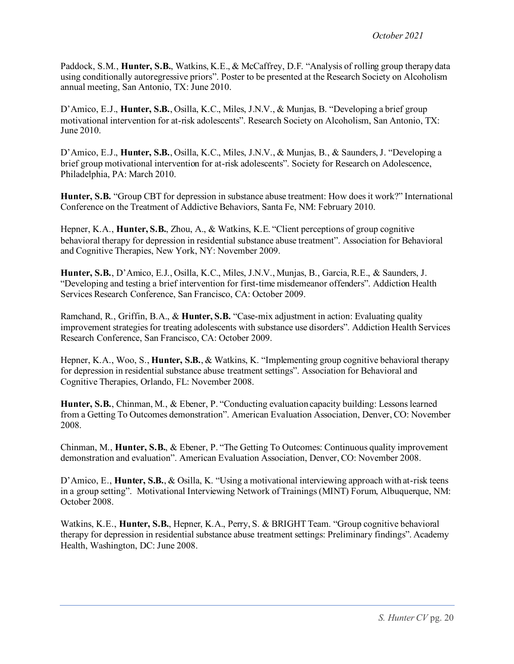Paddock, S.M., **Hunter, S.B.**, Watkins, K.E., & McCaffrey, D.F. "Analysis of rolling group therapy data using conditionally autoregressive priors". Poster to be presented at the Research Society on Alcoholism annual meeting, San Antonio, TX: June 2010.

D'Amico, E.J., **Hunter, S.B.**, Osilla, K.C., Miles, J.N.V., & Munjas, B. "Developing a brief group motivational intervention for at-risk adolescents". Research Society on Alcoholism, San Antonio, TX: June 2010.

D'Amico, E.J., **Hunter, S.B.**, Osilla, K.C., Miles, J.N.V., & Munjas, B., & Saunders, J. "Developing a brief group motivational intervention for at-risk adolescents". Society for Research on Adolescence, Philadelphia, PA: March 2010.

**Hunter, S.B.** "Group CBT for depression in substance abuse treatment: How does it work?" International Conference on the Treatment of Addictive Behaviors, Santa Fe, NM: February 2010.

Hepner, K.A., **Hunter, S.B.**, Zhou, A., & Watkins, K.E. "Client perceptions of group cognitive behavioral therapy for depression in residential substance abuse treatment". Association for Behavioral and Cognitive Therapies, New York, NY: November 2009.

**Hunter, S.B.**, D'Amico, E.J., Osilla, K.C., Miles, J.N.V., Munjas, B., Garcia, R.E., & Saunders, J. "Developing and testing a brief intervention for first-time misdemeanor offenders". Addiction Health Services Research Conference, San Francisco, CA: October 2009.

Ramchand, R., Griffin, B.A., & **Hunter, S.B.** "Case-mix adjustment in action: Evaluating quality improvement strategies for treating adolescents with substance use disorders". Addiction Health Services Research Conference, San Francisco, CA: October 2009.

Hepner, K.A., Woo, S., **Hunter, S.B.**, & Watkins, K. "Implementing group cognitive behavioral therapy for depression in residential substance abuse treatment settings". Association for Behavioral and Cognitive Therapies, Orlando, FL: November 2008.

**Hunter, S.B.**, Chinman, M., & Ebener, P. "Conducting evaluation capacity building: Lessons learned from a Getting To Outcomes demonstration". American Evaluation Association, Denver, CO: November 2008.

Chinman, M., **Hunter, S.B.**, & Ebener, P. "The Getting To Outcomes: Continuous quality improvement demonstration and evaluation". American Evaluation Association, Denver, CO: November 2008.

D'Amico, E., **Hunter, S.B.**, & Osilla, K. "Using a motivational interviewing approach with at-risk teens in a group setting". Motivational Interviewing Network of Trainings (MINT) Forum, Albuquerque, NM: October 2008.

Watkins, K.E., **Hunter, S.B.**, Hepner, K.A., Perry, S. & BRIGHT Team. "Group cognitive behavioral therapy for depression in residential substance abuse treatment settings: Preliminary findings". Academy Health, Washington, DC: June 2008.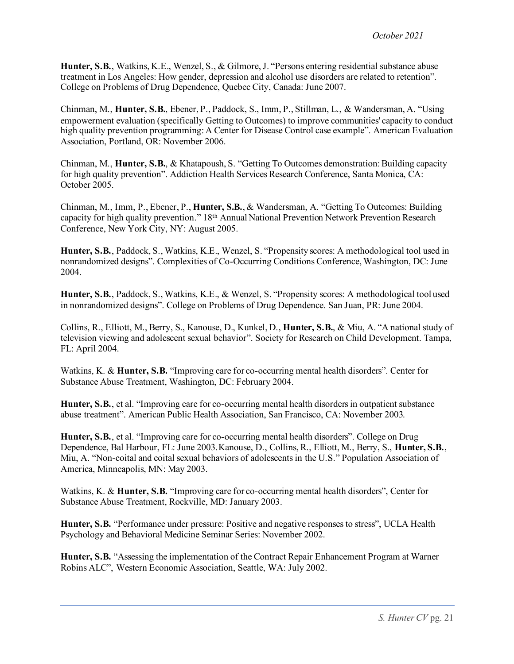**Hunter, S.B.**, Watkins, K.E., Wenzel, S., & Gilmore, J. "Persons entering residential substance abuse treatment in Los Angeles: How gender, depression and alcohol use disorders are related to retention". College on Problems of Drug Dependence, Quebec City, Canada: June 2007.

Chinman, M., **Hunter, S.B.**, Ebener, P., Paddock, S., Imm, P., Stillman, L., & Wandersman, A. "Using empowerment evaluation (specifically Getting to Outcomes) to improve communities' capacity to conduct high quality prevention programming: A Center for Disease Control case example". American Evaluation Association, Portland, OR: November 2006.

Chinman, M., **Hunter, S.B.**, & Khatapoush, S. "Getting To Outcomes demonstration: Building capacity for high quality prevention". Addiction Health Services Research Conference, Santa Monica, CA: October 2005.

Chinman, M., Imm, P., Ebener, P., **Hunter, S.B.**, & Wandersman, A. "Getting To Outcomes: Building capacity for high quality prevention." 18th Annual National Prevention Network Prevention Research Conference, New York City, NY: August 2005.

**Hunter, S.B.**, Paddock, S., Watkins, K.E., Wenzel, S. "Propensity scores: A methodological tool used in nonrandomized designs". Complexities of Co-Occurring Conditions Conference, Washington, DC: June 2004.

**Hunter, S.B.**, Paddock, S., Watkins, K.E., & Wenzel, S. "Propensity scores: A methodological tool used in nonrandomized designs". College on Problems of Drug Dependence. San Juan, PR: June 2004.

Collins, R., Elliott, M., Berry, S., Kanouse, D., Kunkel, D., **Hunter, S.B.**, & Miu, A. "A national study of television viewing and adolescent sexual behavior". Society for Research on Child Development. Tampa, FL: April 2004.

Watkins, K. & **Hunter, S.B.** "Improving care for co-occurring mental health disorders". Center for Substance Abuse Treatment, Washington, DC: February 2004.

**Hunter, S.B.**, et al. "Improving care for co-occurring mental health disorders in outpatient substance abuse treatment". American Public Health Association, San Francisco, CA: November 2003.

**Hunter, S.B.**, et al. "Improving care for co-occurring mental health disorders". College on Drug Dependence, Bal Harbour, FL: June 2003.Kanouse, D., Collins, R., Elliott, M., Berry, S., **Hunter, S.B.**, Miu, A. "Non-coital and coital sexual behaviors of adolescents in the U.S." Population Association of America, Minneapolis, MN: May 2003.

Watkins, K. & **Hunter, S.B.** "Improving care for co-occurring mental health disorders", Center for Substance Abuse Treatment, Rockville, MD: January 2003.

**Hunter, S.B.** "Performance under pressure: Positive and negative responses to stress", UCLA Health Psychology and Behavioral Medicine Seminar Series: November 2002.

**Hunter, S.B.** "Assessing the implementation of the Contract Repair Enhancement Program at Warner Robins ALC", Western Economic Association, Seattle, WA: July 2002.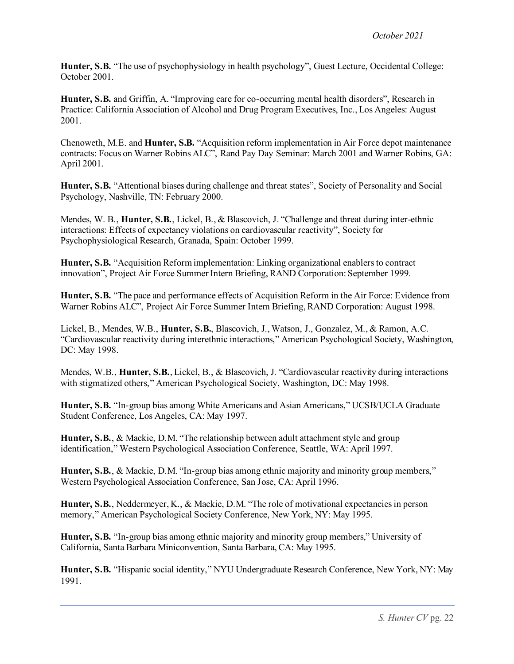**Hunter, S.B.** "The use of psychophysiology in health psychology", Guest Lecture, Occidental College: October 2001.

**Hunter, S.B.** and Griffin, A. "Improving care for co-occurring mental health disorders", Research in Practice: California Association of Alcohol and Drug Program Executives, Inc., Los Angeles: August 2001.

Chenoweth, M.E. and **Hunter, S.B.** "Acquisition reform implementation in Air Force depot maintenance contracts: Focus on Warner Robins ALC", Rand Pay Day Seminar: March 2001 and Warner Robins, GA: April 2001.

**Hunter, S.B.** "Attentional biases during challenge and threat states", Society of Personality and Social Psychology, Nashville, TN: February 2000.

Mendes, W. B., **Hunter, S.B.**, Lickel, B., & Blascovich, J. "Challenge and threat during inter-ethnic interactions: Effects of expectancy violations on cardiovascular reactivity", Society for Psychophysiological Research, Granada, Spain: October 1999.

**Hunter, S.B.** "Acquisition Reform implementation: Linking organizational enablers to contract innovation", Project Air Force Summer Intern Briefing, RAND Corporation: September 1999.

**Hunter, S.B.** "The pace and performance effects of Acquisition Reform in the Air Force: Evidence from Warner Robins ALC", Project Air Force Summer Intern Briefing, RAND Corporation: August 1998.

Lickel, B., Mendes, W.B., **Hunter, S.B.**, Blascovich, J., Watson, J., Gonzalez, M., & Ramon, A.C. "Cardiovascular reactivity during interethnic interactions," American Psychological Society, Washington, DC: May 1998.

Mendes, W.B., **Hunter, S.B.**, Lickel, B., & Blascovich, J. "Cardiovascular reactivity during interactions with stigmatized others," American Psychological Society, Washington, DC: May 1998.

**Hunter, S.B.** "In-group bias among White Americans and Asian Americans," UCSB/UCLA Graduate Student Conference, Los Angeles, CA: May 1997.

**Hunter, S.B.**, & Mackie, D.M. "The relationship between adult attachment style and group identification," Western Psychological Association Conference, Seattle, WA: April 1997.

**Hunter, S.B.**, & Mackie, D.M. "In-group bias among ethnic majority and minority group members," Western Psychological Association Conference, San Jose, CA: April 1996.

**Hunter, S.B.**, Neddermeyer, K., & Mackie, D.M. "The role of motivational expectancies in person memory," American Psychological Society Conference, New York, NY: May 1995.

**Hunter, S.B.** "In-group bias among ethnic majority and minority group members," University of California, Santa Barbara Miniconvention, Santa Barbara, CA: May 1995.

**Hunter, S.B.** "Hispanic social identity," NYU Undergraduate Research Conference, New York, NY: May 1991.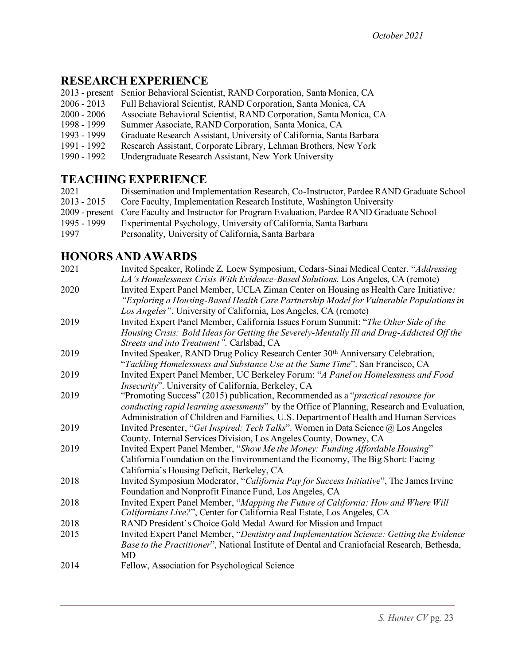### **RESEARCH EXPERIENCE**

| 2013 - present Senior Behavioral Scientist, RAND Corporation, Santa Monica, CA |  |
|--------------------------------------------------------------------------------|--|
|                                                                                |  |

- 2006 2013 Full Behavioral Scientist, RAND Corporation, Santa Monica, CA
- 2000 2006 Associate Behavioral Scientist, RAND Corporation, Santa Monica, CA
- Summer Associate, RAND Corporation, Santa Monica, CA
- 1993 1999 Graduate Research Assistant, University of California, Santa Barbara
- 1991 1992 Research Assistant, Corporate Library, Lehman Brothers, New York
- 1990 1992 Undergraduate Research Assistant, New York University

# **TEACHING EXPERIENCE**

| 2021          | Dissemination and Implementation Research, Co-Instructor, Pardee RAND Graduate School          |
|---------------|------------------------------------------------------------------------------------------------|
| $2013 - 2015$ | Core Faculty, Implementation Research Institute, Washington University                         |
|               | 2009 - present Core Faculty and Instructor for Program Evaluation, Pardee RAND Graduate School |
| 1995 - 1999   | Experimental Psychology, University of California, Santa Barbara                               |
| 1997          | Personality, University of California, Santa Barbara                                           |

### **HONORS AND AWARDS**

| 2021 | Invited Speaker, Rolinde Z. Loew Symposium, Cedars-Sinai Medical Center. "Addressing<br>LA's Homelessness Crisis With Evidence-Based Solutions. Los Angeles, CA (remote)                                                                           |
|------|----------------------------------------------------------------------------------------------------------------------------------------------------------------------------------------------------------------------------------------------------|
| 2020 | Invited Expert Panel Member, UCLA Ziman Center on Housing as Health Care Initiative:<br>"Exploring a Housing-Based Health Care Partnership Model for Vulnerable Populations in<br>Los Angeles". University of California, Los Angeles, CA (remote) |
| 2019 | Invited Expert Panel Member, California Issues Forum Summit: "The Other Side of the                                                                                                                                                                |
|      | Housing Crisis: Bold Ideas for Getting the Severely-Mentally Ill and Drug-Addicted Off the                                                                                                                                                         |
|      | Streets and into Treatment". Carlsbad, CA                                                                                                                                                                                                          |
| 2019 | Invited Speaker, RAND Drug Policy Research Center 30th Anniversary Celebration,                                                                                                                                                                    |
|      | "Tackling Homelessness and Substance Use at the Same Time". San Francisco, CA                                                                                                                                                                      |
| 2019 | Invited Expert Panel Member, UC Berkeley Forum: "A Panel on Homelessness and Food                                                                                                                                                                  |
|      | Insecurity". University of California, Berkeley, CA                                                                                                                                                                                                |
| 2019 | "Promoting Success" (2015) publication, Recommended as a "practical resource for                                                                                                                                                                   |
|      | conducting rapid learning assessments" by the Office of Planning, Research and Evaluation,                                                                                                                                                         |
|      | Administration of Children and Families, U.S. Department of Health and Human Services                                                                                                                                                              |
| 2019 | Invited Presenter, "Get Inspired: Tech Talks". Women in Data Science @ Los Angeles                                                                                                                                                                 |
|      | County. Internal Services Division, Los Angeles County, Downey, CA                                                                                                                                                                                 |
| 2019 | Invited Expert Panel Member, "Show Me the Money: Funding Affordable Housing"                                                                                                                                                                       |
|      | California Foundation on the Environment and the Economy, The Big Short: Facing                                                                                                                                                                    |
|      | California's Housing Deficit, Berkeley, CA                                                                                                                                                                                                         |
| 2018 | Invited Symposium Moderator, "California Pay for Success Initiative", The James Irvine                                                                                                                                                             |
|      | Foundation and Nonprofit Finance Fund, Los Angeles, CA                                                                                                                                                                                             |
| 2018 | Invited Expert Panel Member, "Mapping the Future of California: How and Where Will                                                                                                                                                                 |
|      | Californians Live?", Center for California Real Estate, Los Angeles, CA                                                                                                                                                                            |
| 2018 | RAND President's Choice Gold Medal Award for Mission and Impact                                                                                                                                                                                    |
| 2015 | Invited Expert Panel Member, "Dentistry and Implementation Science: Getting the Evidence                                                                                                                                                           |
|      | Base to the Practitioner", National Institute of Dental and Craniofacial Research, Bethesda,                                                                                                                                                       |
|      | <b>MD</b>                                                                                                                                                                                                                                          |
| 2014 | Fellow, Association for Psychological Science                                                                                                                                                                                                      |
|      |                                                                                                                                                                                                                                                    |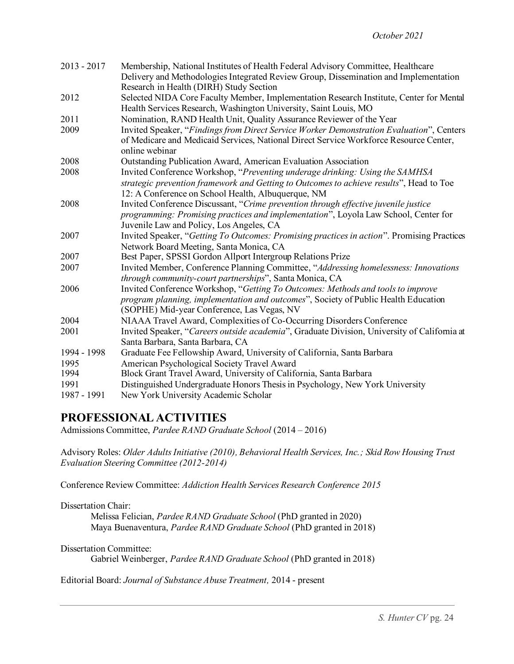| $2013 - 2017$ | Membership, National Institutes of Health Federal Advisory Committee, Healthcare            |
|---------------|---------------------------------------------------------------------------------------------|
|               | Delivery and Methodologies Integrated Review Group, Dissemination and Implementation        |
|               | Research in Health (DIRH) Study Section                                                     |
| 2012          | Selected NIDA Core Faculty Member, Implementation Research Institute, Center for Mental     |
|               | Health Services Research, Washington University, Saint Louis, MO                            |
| 2011          | Nomination, RAND Health Unit, Quality Assurance Reviewer of the Year                        |
| 2009          | Invited Speaker, "Findings from Direct Service Worker Demonstration Evaluation", Centers    |
|               | of Medicare and Medicaid Services, National Direct Service Workforce Resource Center,       |
|               | online webinar                                                                              |
| 2008          | Outstanding Publication Award, American Evaluation Association                              |
| 2008          | Invited Conference Workshop, "Preventing underage drinking: Using the SAMHSA                |
|               | strategic prevention framework and Getting to Outcomes to achieve results", Head to Toe     |
|               | 12: A Conference on School Health, Albuquerque, NM                                          |
| 2008          | Invited Conference Discussant, "Crime prevention through effective juvenile justice         |
|               | programming: Promising practices and implementation", Loyola Law School, Center for         |
|               | Juvenile Law and Policy, Los Angeles, CA                                                    |
| 2007          | Invited Speaker, "Getting To Outcomes: Promising practices in action". Promising Practices  |
|               | Network Board Meeting, Santa Monica, CA                                                     |
| 2007          | Best Paper, SPSSI Gordon Allport Intergroup Relations Prize                                 |
| 2007          | Invited Member, Conference Planning Committee, "Addressing homelessness: Innovations        |
|               | through community-court partnerships", Santa Monica, CA                                     |
| 2006          | Invited Conference Workshop, "Getting To Outcomes: Methods and tools to improve             |
|               | program planning, implementation and outcomes", Society of Public Health Education          |
|               | (SOPHE) Mid-year Conference, Las Vegas, NV                                                  |
| 2004          | NIAAA Travel Award, Complexities of Co-Occurring Disorders Conference                       |
| 2001          | Invited Speaker, "Careers outside academia", Graduate Division, University of California at |
|               | Santa Barbara, Santa Barbara, CA                                                            |
| 1994 - 1998   | Graduate Fee Fellowship Award, University of California, Santa Barbara                      |
| 1995          | American Psychological Society Travel Award                                                 |
| 1994          | Block Grant Travel Award, University of California, Santa Barbara                           |
| 1991          | Distinguished Undergraduate Honors Thesis in Psychology, New York University                |
| 1987 - 1991   | New York University Academic Scholar                                                        |

#### **PROFESSIONAL ACTIVITIES**

Admissions Committee, *Pardee RAND Graduate School* (2014 – 2016)

Advisory Roles: *Older Adults Initiative (2010), Behavioral Health Services, Inc.; Skid Row Housing Trust Evaluation Steering Committee (2012-2014)*

Conference Review Committee: *Addiction Health Services Research Conference 2015*

Dissertation Chair:

Melissa Felician, *Pardee RAND Graduate School* (PhD granted in 2020) Maya Buenaventura, *Pardee RAND Graduate School* (PhD granted in 2018)

Dissertation Committee:

Gabriel Weinberger, *Pardee RAND Graduate School* (PhD granted in 2018)

Editorial Board: *Journal of Substance Abuse Treatment,* 2014 - present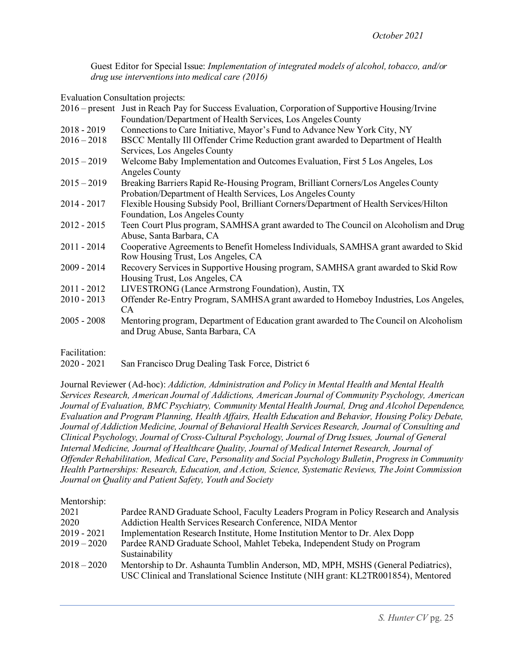Guest Editor for Special Issue: *Implementation of integrated models of alcohol, tobacco, and/or drug use interventions into medical care (2016)*

Evaluation Consultation projects:

|               | 2016 – present Just in Reach Pay for Success Evaluation, Corporation of Supportive Housing/Irvine |
|---------------|---------------------------------------------------------------------------------------------------|
|               | Foundation/Department of Health Services, Los Angeles County                                      |
| $2018 - 2019$ | Connections to Care Initiative, Mayor's Fund to Advance New York City, NY                         |
| $2016 - 2018$ | BSCC Mentally Ill Offender Crime Reduction grant awarded to Department of Health                  |
|               | Services, Los Angeles County                                                                      |
| $2015 - 2019$ | Welcome Baby Implementation and Outcomes Evaluation, First 5 Los Angeles, Los                     |
|               | Angeles County                                                                                    |
| $2015 - 2019$ | Breaking Barriers Rapid Re-Housing Program, Brilliant Corners/Los Angeles County                  |
|               | Probation/Department of Health Services, Los Angeles County                                       |
| $2014 - 2017$ | Flexible Housing Subsidy Pool, Brilliant Corners/Department of Health Services/Hilton             |
|               | Foundation, Los Angeles County                                                                    |
| $2012 - 2015$ | Teen Court Plus program, SAMHSA grant awarded to The Council on Alcoholism and Drug               |
|               | Abuse, Santa Barbara, CA                                                                          |
| $2011 - 2014$ | Cooperative Agreements to Benefit Homeless Individuals, SAMHSA grant awarded to Skid              |
|               | Row Housing Trust, Los Angeles, CA                                                                |
| $2009 - 2014$ | Recovery Services in Supportive Housing program, SAMHSA grant awarded to Skid Row                 |
|               | Housing Trust, Los Angeles, CA                                                                    |
| $2011 - 2012$ | LIVESTRONG (Lance Armstrong Foundation), Austin, TX                                               |
| $2010 - 2013$ | Offender Re-Entry Program, SAMHSA grant awarded to Homeboy Industries, Los Angeles,               |
|               | CA                                                                                                |
| $2005 - 2008$ | Mentoring program, Department of Education grant awarded to The Council on Alcoholism             |
|               | and Drug Abuse, Santa Barbara, CA                                                                 |
|               |                                                                                                   |
| Facilitation: |                                                                                                   |

2020 - 2021 San Francisco Drug Dealing Task Force, District 6

Journal Reviewer (Ad-hoc): *Addiction, Administration and Policy in Mental Health and Mental Health Services Research, American Journal of Addictions, American Journal of Community Psychology, American Journal of Evaluation, BMC Psychiatry, Community Mental Health Journal, Drug and Alcohol Dependence, Evaluation and Program Planning, Health Affairs, Health Education and Behavior, Housing Policy Debate, Journal of Addiction Medicine, Journal of Behavioral Health Services Research, Journal of Consulting and Clinical Psychology, Journal of Cross-Cultural Psychology, Journal of Drug Issues, Journal of General Internal Medicine, Journal of Healthcare Quality, Journal of Medical Internet Research, Journal of Offender Rehabilitation, Medical Care*, *Personality and Social Psychology Bulletin*, *Progress in Community Health Partnerships: Research, Education, and Action, Science, Systematic Reviews, The Joint Commission Journal on Quality and Patient Safety, Youth and Society*

Mentorshin<sup>.</sup>

| THATTOT DITIDE |                                                                                      |
|----------------|--------------------------------------------------------------------------------------|
| 2021           | Pardee RAND Graduate School, Faculty Leaders Program in Policy Research and Analysis |
| 2020           | Addiction Health Services Research Conference, NIDA Mentor                           |
| $2019 - 2021$  | Implementation Research Institute, Home Institution Mentor to Dr. Alex Dopp          |
| $2019 - 2020$  | Pardee RAND Graduate School, Mahlet Tebeka, Independent Study on Program             |
|                | Sustainability                                                                       |
| $2018 - 2020$  | Mentorship to Dr. Ashaunta Tumblin Anderson, MD, MPH, MSHS (General Pediatrics),     |
|                | USC Clinical and Translational Science Institute (NIH grant: KL2TR001854), Mentored  |
|                |                                                                                      |